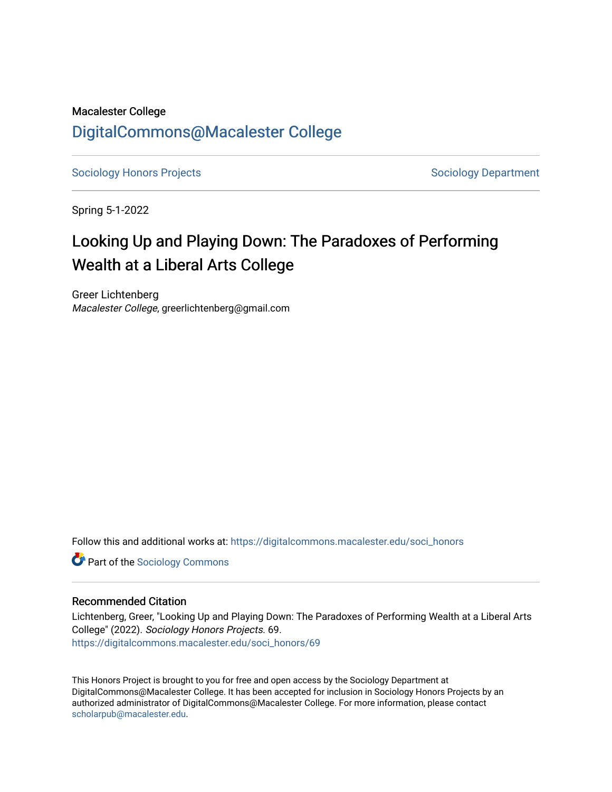# Macalester College [DigitalCommons@Macalester College](https://digitalcommons.macalester.edu/)

[Sociology Honors Projects](https://digitalcommons.macalester.edu/soci_honors) **Sociology Department** 

Spring 5-1-2022

# Looking Up and Playing Down: The Paradoxes of Performing Wealth at a Liberal Arts College

Greer Lichtenberg Macalester College, greerlichtenberg@gmail.com

Follow this and additional works at: [https://digitalcommons.macalester.edu/soci\\_honors](https://digitalcommons.macalester.edu/soci_honors?utm_source=digitalcommons.macalester.edu%2Fsoci_honors%2F69&utm_medium=PDF&utm_campaign=PDFCoverPages)

**Part of the [Sociology Commons](https://network.bepress.com/hgg/discipline/416?utm_source=digitalcommons.macalester.edu%2Fsoci_honors%2F69&utm_medium=PDF&utm_campaign=PDFCoverPages)** 

## Recommended Citation

Lichtenberg, Greer, "Looking Up and Playing Down: The Paradoxes of Performing Wealth at a Liberal Arts College" (2022). Sociology Honors Projects. 69. [https://digitalcommons.macalester.edu/soci\\_honors/69](https://digitalcommons.macalester.edu/soci_honors/69?utm_source=digitalcommons.macalester.edu%2Fsoci_honors%2F69&utm_medium=PDF&utm_campaign=PDFCoverPages) 

This Honors Project is brought to you for free and open access by the Sociology Department at DigitalCommons@Macalester College. It has been accepted for inclusion in Sociology Honors Projects by an authorized administrator of DigitalCommons@Macalester College. For more information, please contact [scholarpub@macalester.edu](mailto:scholarpub@macalester.edu).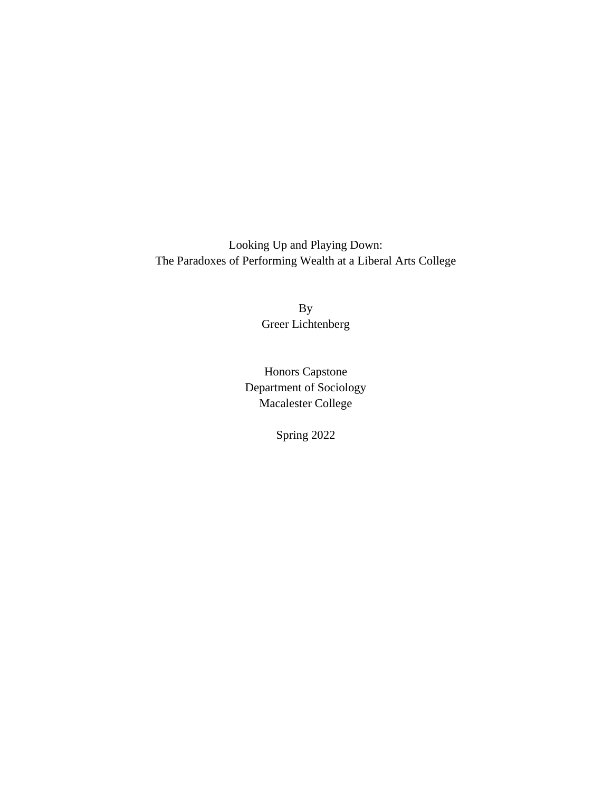Looking Up and Playing Down: The Paradoxes of Performing Wealth at a Liberal Arts College

> By Greer Lichtenberg

Honors Capstone Department of Sociology Macalester College

Spring 2022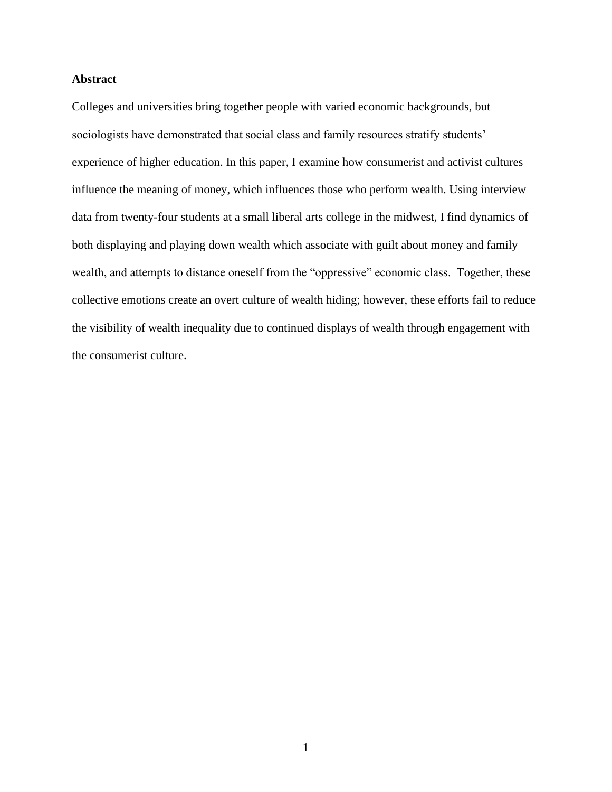## **Abstract**

Colleges and universities bring together people with varied economic backgrounds, but sociologists have demonstrated that social class and family resources stratify students' experience of higher education. In this paper, I examine how consumerist and activist cultures influence the meaning of money, which influences those who perform wealth. Using interview data from twenty-four students at a small liberal arts college in the midwest, I find dynamics of both displaying and playing down wealth which associate with guilt about money and family wealth, and attempts to distance oneself from the "oppressive" economic class. Together, these collective emotions create an overt culture of wealth hiding; however, these efforts fail to reduce the visibility of wealth inequality due to continued displays of wealth through engagement with the consumerist culture.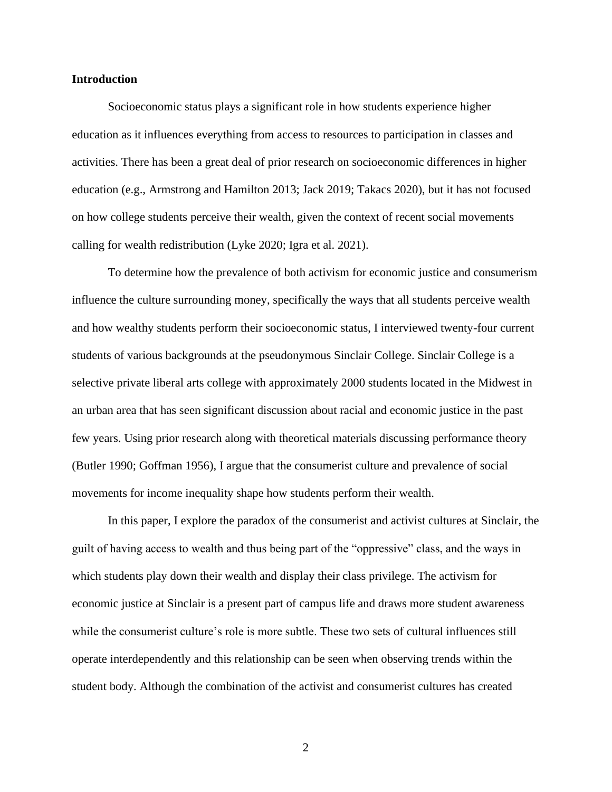#### **Introduction**

Socioeconomic status plays a significant role in how students experience higher education as it influences everything from access to resources to participation in classes and activities. There has been a great deal of prior research on socioeconomic differences in higher education (e.g., Armstrong and Hamilton 2013; Jack 2019; Takacs 2020), but it has not focused on how college students perceive their wealth, given the context of recent social movements calling for wealth redistribution (Lyke 2020; Igra et al. 2021).

To determine how the prevalence of both activism for economic justice and consumerism influence the culture surrounding money, specifically the ways that all students perceive wealth and how wealthy students perform their socioeconomic status, I interviewed twenty-four current students of various backgrounds at the pseudonymous Sinclair College. Sinclair College is a selective private liberal arts college with approximately 2000 students located in the Midwest in an urban area that has seen significant discussion about racial and economic justice in the past few years. Using prior research along with theoretical materials discussing performance theory (Butler 1990; Goffman 1956), I argue that the consumerist culture and prevalence of social movements for income inequality shape how students perform their wealth.

In this paper, I explore the paradox of the consumerist and activist cultures at Sinclair, the guilt of having access to wealth and thus being part of the "oppressive" class, and the ways in which students play down their wealth and display their class privilege. The activism for economic justice at Sinclair is a present part of campus life and draws more student awareness while the consumerist culture's role is more subtle. These two sets of cultural influences still operate interdependently and this relationship can be seen when observing trends within the student body. Although the combination of the activist and consumerist cultures has created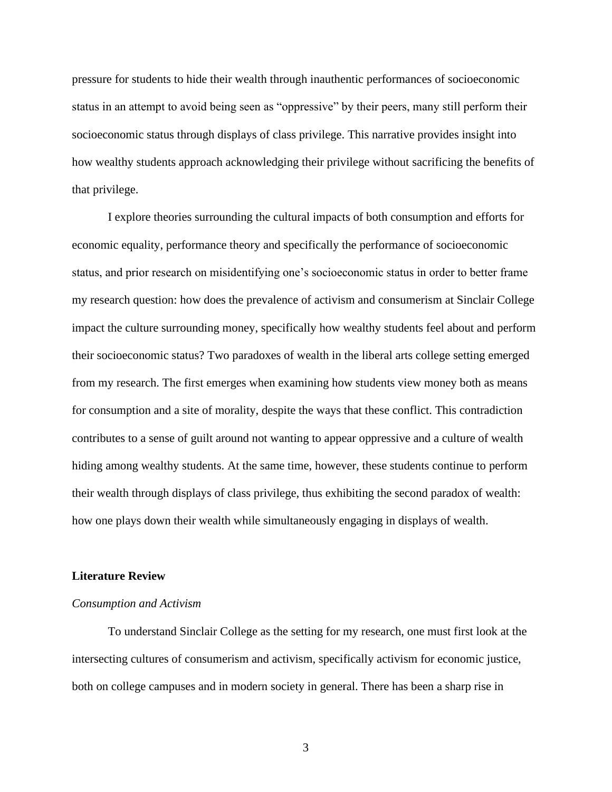pressure for students to hide their wealth through inauthentic performances of socioeconomic status in an attempt to avoid being seen as "oppressive" by their peers, many still perform their socioeconomic status through displays of class privilege. This narrative provides insight into how wealthy students approach acknowledging their privilege without sacrificing the benefits of that privilege.

I explore theories surrounding the cultural impacts of both consumption and efforts for economic equality, performance theory and specifically the performance of socioeconomic status, and prior research on misidentifying one's socioeconomic status in order to better frame my research question: how does the prevalence of activism and consumerism at Sinclair College impact the culture surrounding money, specifically how wealthy students feel about and perform their socioeconomic status? Two paradoxes of wealth in the liberal arts college setting emerged from my research. The first emerges when examining how students view money both as means for consumption and a site of morality, despite the ways that these conflict. This contradiction contributes to a sense of guilt around not wanting to appear oppressive and a culture of wealth hiding among wealthy students. At the same time, however, these students continue to perform their wealth through displays of class privilege, thus exhibiting the second paradox of wealth: how one plays down their wealth while simultaneously engaging in displays of wealth.

#### **Literature Review**

#### *Consumption and Activism*

To understand Sinclair College as the setting for my research, one must first look at the intersecting cultures of consumerism and activism, specifically activism for economic justice, both on college campuses and in modern society in general. There has been a sharp rise in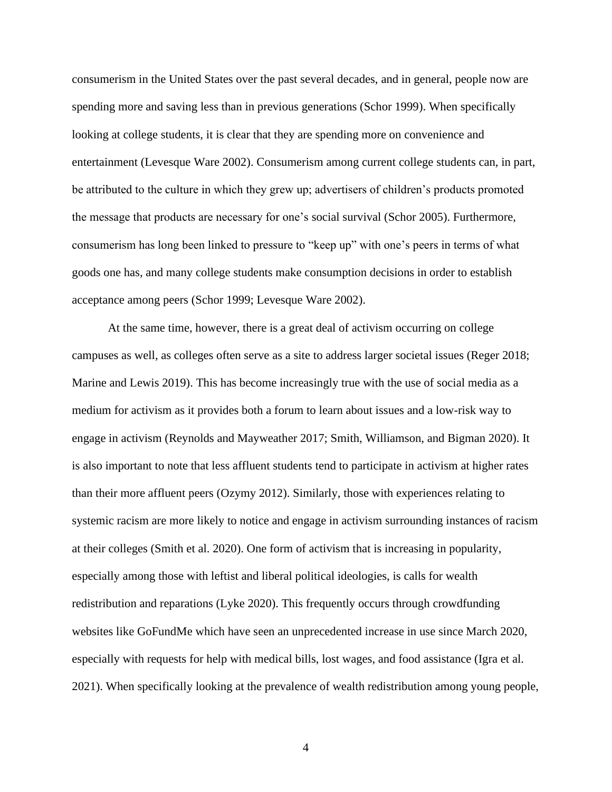consumerism in the United States over the past several decades, and in general, people now are spending more and saving less than in previous generations (Schor 1999). When specifically looking at college students, it is clear that they are spending more on convenience and entertainment (Levesque Ware 2002). Consumerism among current college students can, in part, be attributed to the culture in which they grew up; advertisers of children's products promoted the message that products are necessary for one's social survival (Schor 2005). Furthermore, consumerism has long been linked to pressure to "keep up" with one's peers in terms of what goods one has, and many college students make consumption decisions in order to establish acceptance among peers (Schor 1999; Levesque Ware 2002).

At the same time, however, there is a great deal of activism occurring on college campuses as well, as colleges often serve as a site to address larger societal issues (Reger 2018; Marine and Lewis 2019). This has become increasingly true with the use of social media as a medium for activism as it provides both a forum to learn about issues and a low-risk way to engage in activism (Reynolds and Mayweather 2017; Smith, Williamson, and Bigman 2020). It is also important to note that less affluent students tend to participate in activism at higher rates than their more affluent peers (Ozymy 2012). Similarly, those with experiences relating to systemic racism are more likely to notice and engage in activism surrounding instances of racism at their colleges (Smith et al. 2020). One form of activism that is increasing in popularity, especially among those with leftist and liberal political ideologies, is calls for wealth redistribution and reparations (Lyke 2020). This frequently occurs through crowdfunding websites like GoFundMe which have seen an unprecedented increase in use since March 2020, especially with requests for help with medical bills, lost wages, and food assistance (Igra et al. 2021). When specifically looking at the prevalence of wealth redistribution among young people,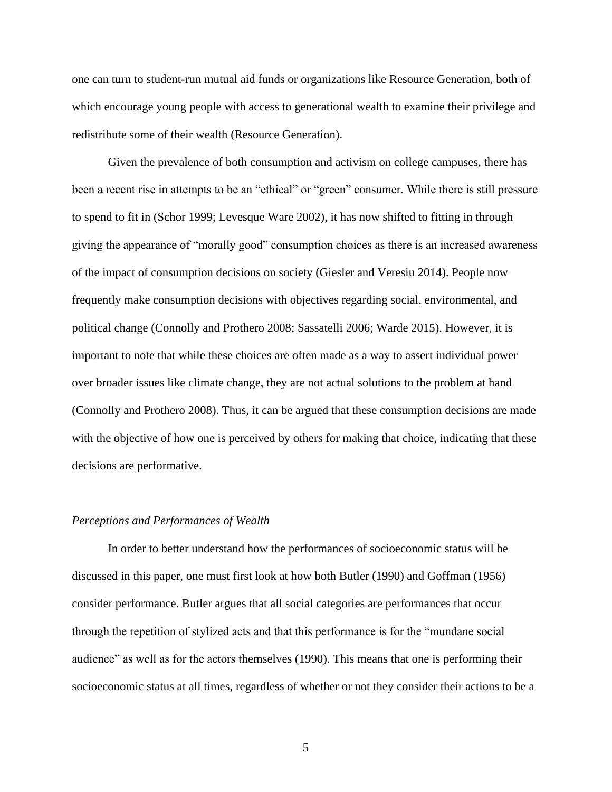one can turn to student-run mutual aid funds or organizations like Resource Generation, both of which encourage young people with access to generational wealth to examine their privilege and redistribute some of their wealth (Resource Generation).

Given the prevalence of both consumption and activism on college campuses, there has been a recent rise in attempts to be an "ethical" or "green" consumer. While there is still pressure to spend to fit in (Schor 1999; Levesque Ware 2002), it has now shifted to fitting in through giving the appearance of "morally good" consumption choices as there is an increased awareness of the impact of consumption decisions on society (Giesler and Veresiu 2014). People now frequently make consumption decisions with objectives regarding social, environmental, and political change (Connolly and Prothero 2008; Sassatelli 2006; Warde 2015). However, it is important to note that while these choices are often made as a way to assert individual power over broader issues like climate change, they are not actual solutions to the problem at hand (Connolly and Prothero 2008). Thus, it can be argued that these consumption decisions are made with the objective of how one is perceived by others for making that choice, indicating that these decisions are performative.

#### *Perceptions and Performances of Wealth*

In order to better understand how the performances of socioeconomic status will be discussed in this paper, one must first look at how both Butler (1990) and Goffman (1956) consider performance. Butler argues that all social categories are performances that occur through the repetition of stylized acts and that this performance is for the "mundane social audience" as well as for the actors themselves (1990). This means that one is performing their socioeconomic status at all times, regardless of whether or not they consider their actions to be a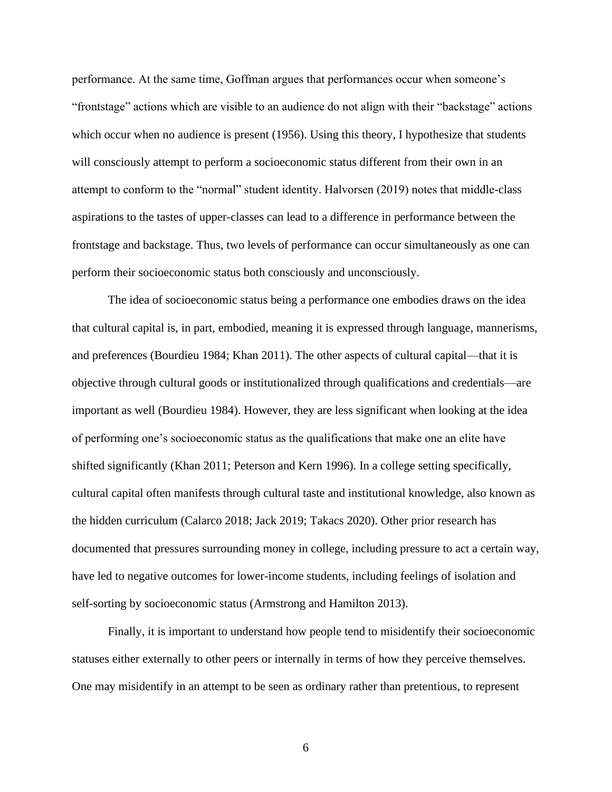performance. At the same time, Goffman argues that performances occur when someone's "frontstage" actions which are visible to an audience do not align with their "backstage" actions which occur when no audience is present (1956). Using this theory, I hypothesize that students will consciously attempt to perform a socioeconomic status different from their own in an attempt to conform to the "normal" student identity. Halvorsen (2019) notes that middle-class aspirations to the tastes of upper-classes can lead to a difference in performance between the frontstage and backstage. Thus, two levels of performance can occur simultaneously as one can perform their socioeconomic status both consciously and unconsciously.

The idea of socioeconomic status being a performance one embodies draws on the idea that cultural capital is, in part, embodied, meaning it is expressed through language, mannerisms, and preferences (Bourdieu 1984; Khan 2011). The other aspects of cultural capital—that it is objective through cultural goods or institutionalized through qualifications and credentials—are important as well (Bourdieu 1984). However, they are less significant when looking at the idea of performing one's socioeconomic status as the qualifications that make one an elite have shifted significantly (Khan 2011; Peterson and Kern 1996). In a college setting specifically, cultural capital often manifests through cultural taste and institutional knowledge, also known as the hidden curriculum (Calarco 2018; Jack 2019; Takacs 2020). Other prior research has documented that pressures surrounding money in college, including pressure to act a certain way, have led to negative outcomes for lower-income students, including feelings of isolation and self-sorting by socioeconomic status (Armstrong and Hamilton 2013).

Finally, it is important to understand how people tend to misidentify their socioeconomic statuses either externally to other peers or internally in terms of how they perceive themselves. One may misidentify in an attempt to be seen as ordinary rather than pretentious, to represent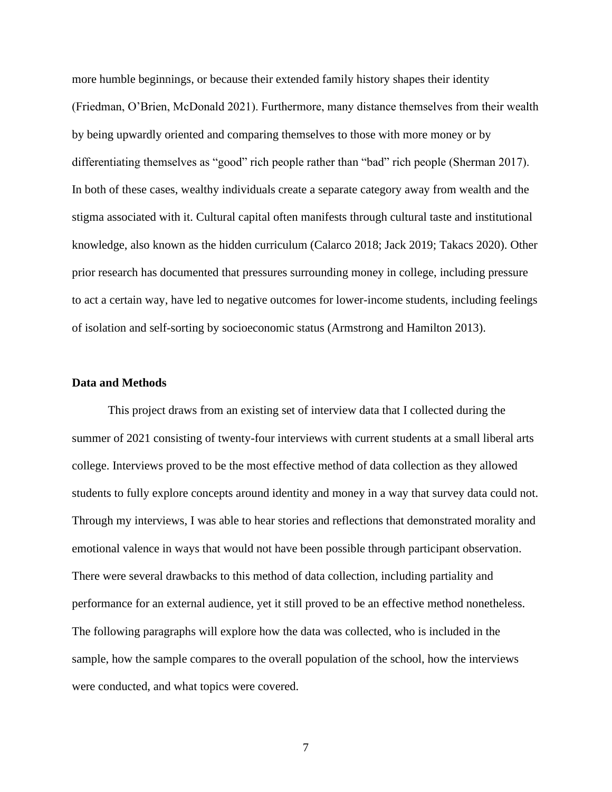more humble beginnings, or because their extended family history shapes their identity (Friedman, O'Brien, McDonald 2021). Furthermore, many distance themselves from their wealth by being upwardly oriented and comparing themselves to those with more money or by differentiating themselves as "good" rich people rather than "bad" rich people (Sherman 2017). In both of these cases, wealthy individuals create a separate category away from wealth and the stigma associated with it. Cultural capital often manifests through cultural taste and institutional knowledge, also known as the hidden curriculum (Calarco 2018; Jack 2019; Takacs 2020). Other prior research has documented that pressures surrounding money in college, including pressure to act a certain way, have led to negative outcomes for lower-income students, including feelings of isolation and self-sorting by socioeconomic status (Armstrong and Hamilton 2013).

#### **Data and Methods**

This project draws from an existing set of interview data that I collected during the summer of 2021 consisting of twenty-four interviews with current students at a small liberal arts college. Interviews proved to be the most effective method of data collection as they allowed students to fully explore concepts around identity and money in a way that survey data could not. Through my interviews, I was able to hear stories and reflections that demonstrated morality and emotional valence in ways that would not have been possible through participant observation. There were several drawbacks to this method of data collection, including partiality and performance for an external audience, yet it still proved to be an effective method nonetheless. The following paragraphs will explore how the data was collected, who is included in the sample, how the sample compares to the overall population of the school, how the interviews were conducted, and what topics were covered.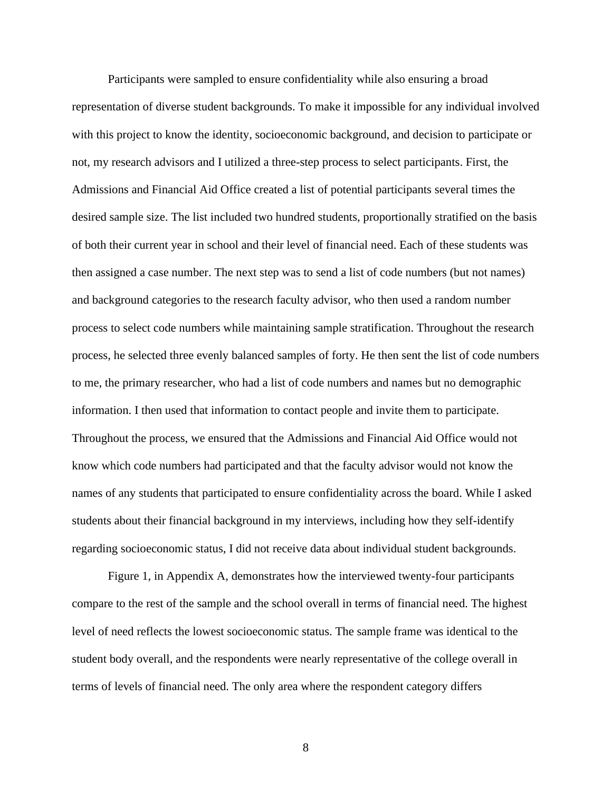Participants were sampled to ensure confidentiality while also ensuring a broad representation of diverse student backgrounds. To make it impossible for any individual involved with this project to know the identity, socioeconomic background, and decision to participate or not, my research advisors and I utilized a three-step process to select participants. First, the Admissions and Financial Aid Office created a list of potential participants several times the desired sample size. The list included two hundred students, proportionally stratified on the basis of both their current year in school and their level of financial need. Each of these students was then assigned a case number. The next step was to send a list of code numbers (but not names) and background categories to the research faculty advisor, who then used a random number process to select code numbers while maintaining sample stratification. Throughout the research process, he selected three evenly balanced samples of forty. He then sent the list of code numbers to me, the primary researcher, who had a list of code numbers and names but no demographic information. I then used that information to contact people and invite them to participate. Throughout the process, we ensured that the Admissions and Financial Aid Office would not know which code numbers had participated and that the faculty advisor would not know the names of any students that participated to ensure confidentiality across the board. While I asked students about their financial background in my interviews, including how they self-identify regarding socioeconomic status, I did not receive data about individual student backgrounds.

Figure 1, in Appendix A, demonstrates how the interviewed twenty-four participants compare to the rest of the sample and the school overall in terms of financial need. The highest level of need reflects the lowest socioeconomic status. The sample frame was identical to the student body overall, and the respondents were nearly representative of the college overall in terms of levels of financial need. The only area where the respondent category differs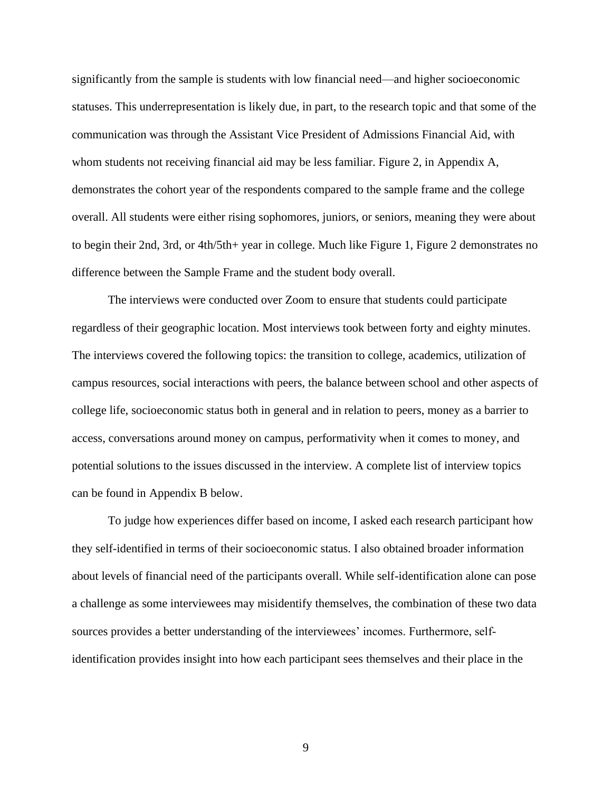significantly from the sample is students with low financial need—and higher socioeconomic statuses. This underrepresentation is likely due, in part, to the research topic and that some of the communication was through the Assistant Vice President of Admissions Financial Aid, with whom students not receiving financial aid may be less familiar. Figure 2, in Appendix A, demonstrates the cohort year of the respondents compared to the sample frame and the college overall. All students were either rising sophomores, juniors, or seniors, meaning they were about to begin their 2nd, 3rd, or 4th/5th+ year in college. Much like Figure 1, Figure 2 demonstrates no difference between the Sample Frame and the student body overall.

The interviews were conducted over Zoom to ensure that students could participate regardless of their geographic location. Most interviews took between forty and eighty minutes. The interviews covered the following topics: the transition to college, academics, utilization of campus resources, social interactions with peers, the balance between school and other aspects of college life, socioeconomic status both in general and in relation to peers, money as a barrier to access, conversations around money on campus, performativity when it comes to money, and potential solutions to the issues discussed in the interview. A complete list of interview topics can be found in Appendix B below.

To judge how experiences differ based on income, I asked each research participant how they self-identified in terms of their socioeconomic status. I also obtained broader information about levels of financial need of the participants overall. While self-identification alone can pose a challenge as some interviewees may misidentify themselves, the combination of these two data sources provides a better understanding of the interviewees' incomes. Furthermore, selfidentification provides insight into how each participant sees themselves and their place in the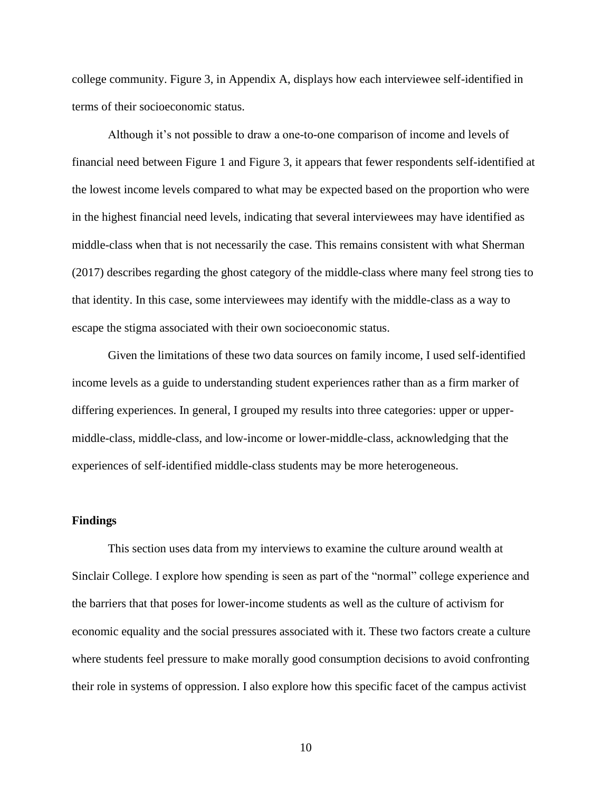college community. Figure 3, in Appendix A, displays how each interviewee self-identified in terms of their socioeconomic status.

Although it's not possible to draw a one-to-one comparison of income and levels of financial need between Figure 1 and Figure 3, it appears that fewer respondents self-identified at the lowest income levels compared to what may be expected based on the proportion who were in the highest financial need levels, indicating that several interviewees may have identified as middle-class when that is not necessarily the case. This remains consistent with what Sherman (2017) describes regarding the ghost category of the middle-class where many feel strong ties to that identity. In this case, some interviewees may identify with the middle-class as a way to escape the stigma associated with their own socioeconomic status.

Given the limitations of these two data sources on family income, I used self-identified income levels as a guide to understanding student experiences rather than as a firm marker of differing experiences. In general, I grouped my results into three categories: upper or uppermiddle-class, middle-class, and low-income or lower-middle-class, acknowledging that the experiences of self-identified middle-class students may be more heterogeneous.

### **Findings**

This section uses data from my interviews to examine the culture around wealth at Sinclair College. I explore how spending is seen as part of the "normal" college experience and the barriers that that poses for lower-income students as well as the culture of activism for economic equality and the social pressures associated with it. These two factors create a culture where students feel pressure to make morally good consumption decisions to avoid confronting their role in systems of oppression. I also explore how this specific facet of the campus activist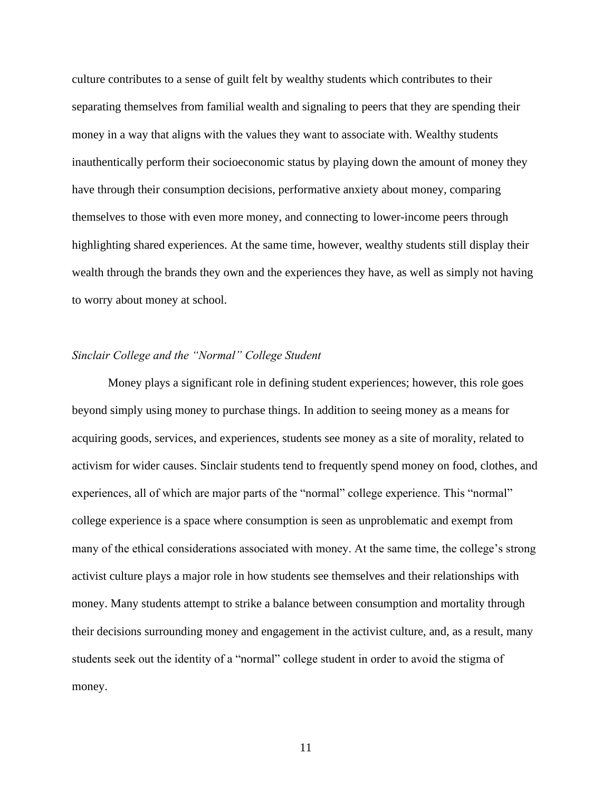culture contributes to a sense of guilt felt by wealthy students which contributes to their separating themselves from familial wealth and signaling to peers that they are spending their money in a way that aligns with the values they want to associate with. Wealthy students inauthentically perform their socioeconomic status by playing down the amount of money they have through their consumption decisions, performative anxiety about money, comparing themselves to those with even more money, and connecting to lower-income peers through highlighting shared experiences. At the same time, however, wealthy students still display their wealth through the brands they own and the experiences they have, as well as simply not having to worry about money at school.

### *Sinclair College and the "Normal" College Student*

Money plays a significant role in defining student experiences; however, this role goes beyond simply using money to purchase things. In addition to seeing money as a means for acquiring goods, services, and experiences, students see money as a site of morality, related to activism for wider causes. Sinclair students tend to frequently spend money on food, clothes, and experiences, all of which are major parts of the "normal" college experience. This "normal" college experience is a space where consumption is seen as unproblematic and exempt from many of the ethical considerations associated with money. At the same time, the college's strong activist culture plays a major role in how students see themselves and their relationships with money. Many students attempt to strike a balance between consumption and mortality through their decisions surrounding money and engagement in the activist culture, and, as a result, many students seek out the identity of a "normal" college student in order to avoid the stigma of money.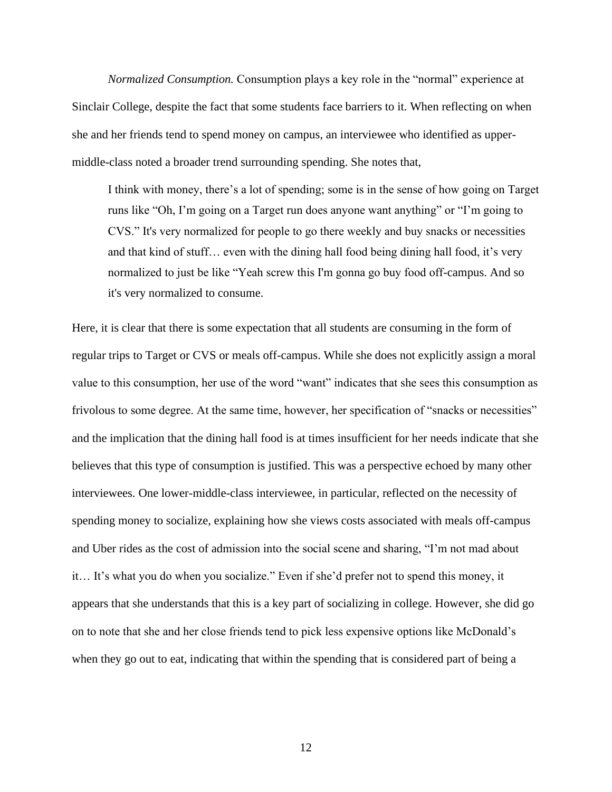*Normalized Consumption.* Consumption plays a key role in the "normal" experience at Sinclair College, despite the fact that some students face barriers to it. When reflecting on when she and her friends tend to spend money on campus, an interviewee who identified as uppermiddle-class noted a broader trend surrounding spending. She notes that,

I think with money, there's a lot of spending; some is in the sense of how going on Target runs like "Oh, I'm going on a Target run does anyone want anything" or "I'm going to CVS." It's very normalized for people to go there weekly and buy snacks or necessities and that kind of stuff… even with the dining hall food being dining hall food, it's very normalized to just be like "Yeah screw this I'm gonna go buy food off-campus. And so it's very normalized to consume.

Here, it is clear that there is some expectation that all students are consuming in the form of regular trips to Target or CVS or meals off-campus. While she does not explicitly assign a moral value to this consumption, her use of the word "want" indicates that she sees this consumption as frivolous to some degree. At the same time, however, her specification of "snacks or necessities" and the implication that the dining hall food is at times insufficient for her needs indicate that she believes that this type of consumption is justified. This was a perspective echoed by many other interviewees. One lower-middle-class interviewee, in particular, reflected on the necessity of spending money to socialize, explaining how she views costs associated with meals off-campus and Uber rides as the cost of admission into the social scene and sharing, "I'm not mad about it… It's what you do when you socialize." Even if she'd prefer not to spend this money, it appears that she understands that this is a key part of socializing in college. However, she did go on to note that she and her close friends tend to pick less expensive options like McDonald's when they go out to eat, indicating that within the spending that is considered part of being a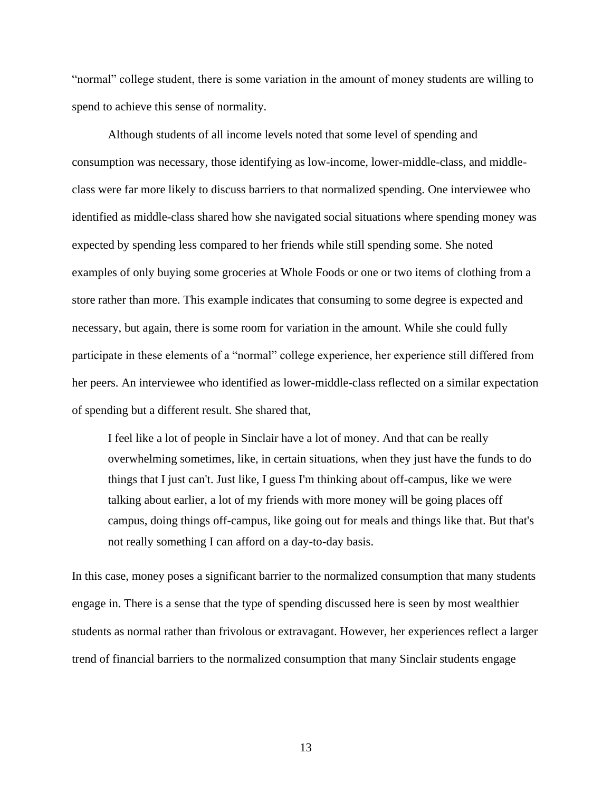"normal" college student, there is some variation in the amount of money students are willing to spend to achieve this sense of normality.

Although students of all income levels noted that some level of spending and consumption was necessary, those identifying as low-income, lower-middle-class, and middleclass were far more likely to discuss barriers to that normalized spending. One interviewee who identified as middle-class shared how she navigated social situations where spending money was expected by spending less compared to her friends while still spending some. She noted examples of only buying some groceries at Whole Foods or one or two items of clothing from a store rather than more. This example indicates that consuming to some degree is expected and necessary, but again, there is some room for variation in the amount. While she could fully participate in these elements of a "normal" college experience, her experience still differed from her peers. An interviewee who identified as lower-middle-class reflected on a similar expectation of spending but a different result. She shared that,

I feel like a lot of people in Sinclair have a lot of money. And that can be really overwhelming sometimes, like, in certain situations, when they just have the funds to do things that I just can't. Just like, I guess I'm thinking about off-campus, like we were talking about earlier, a lot of my friends with more money will be going places off campus, doing things off-campus, like going out for meals and things like that. But that's not really something I can afford on a day-to-day basis.

In this case, money poses a significant barrier to the normalized consumption that many students engage in. There is a sense that the type of spending discussed here is seen by most wealthier students as normal rather than frivolous or extravagant. However, her experiences reflect a larger trend of financial barriers to the normalized consumption that many Sinclair students engage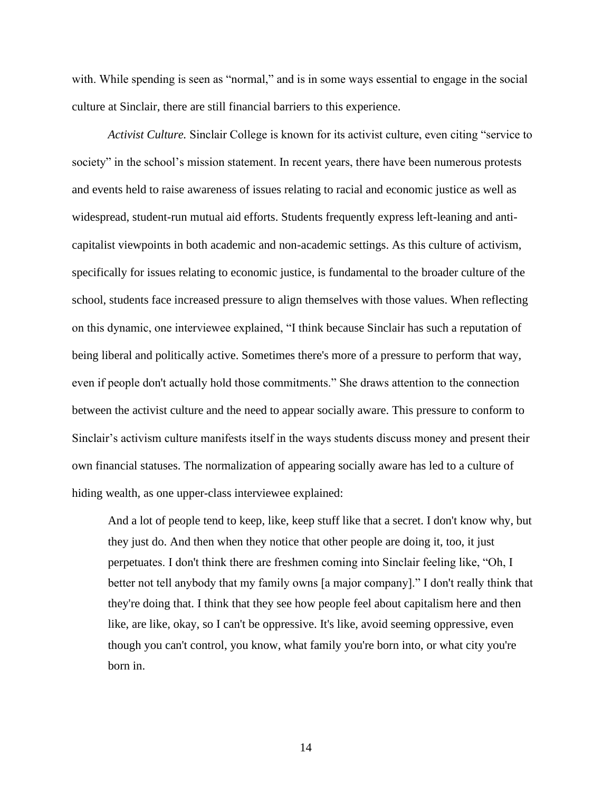with. While spending is seen as "normal," and is in some ways essential to engage in the social culture at Sinclair, there are still financial barriers to this experience.

*Activist Culture.* Sinclair College is known for its activist culture, even citing "service to society" in the school's mission statement. In recent years, there have been numerous protests and events held to raise awareness of issues relating to racial and economic justice as well as widespread, student-run mutual aid efforts. Students frequently express left-leaning and anticapitalist viewpoints in both academic and non-academic settings. As this culture of activism, specifically for issues relating to economic justice, is fundamental to the broader culture of the school, students face increased pressure to align themselves with those values. When reflecting on this dynamic, one interviewee explained, "I think because Sinclair has such a reputation of being liberal and politically active. Sometimes there's more of a pressure to perform that way, even if people don't actually hold those commitments." She draws attention to the connection between the activist culture and the need to appear socially aware. This pressure to conform to Sinclair's activism culture manifests itself in the ways students discuss money and present their own financial statuses. The normalization of appearing socially aware has led to a culture of hiding wealth, as one upper-class interviewee explained:

And a lot of people tend to keep, like, keep stuff like that a secret. I don't know why, but they just do. And then when they notice that other people are doing it, too, it just perpetuates. I don't think there are freshmen coming into Sinclair feeling like, "Oh, I better not tell anybody that my family owns [a major company]." I don't really think that they're doing that. I think that they see how people feel about capitalism here and then like, are like, okay, so I can't be oppressive. It's like, avoid seeming oppressive, even though you can't control, you know, what family you're born into, or what city you're born in.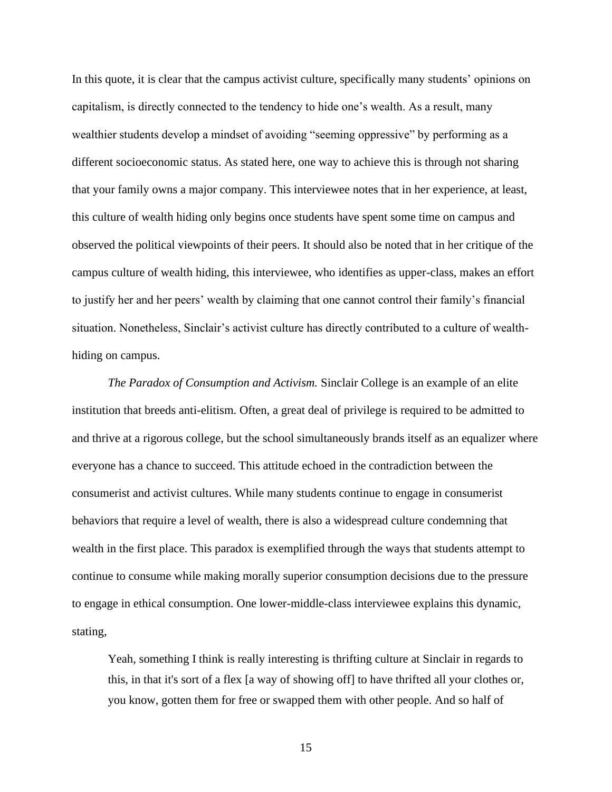In this quote, it is clear that the campus activist culture, specifically many students' opinions on capitalism, is directly connected to the tendency to hide one's wealth. As a result, many wealthier students develop a mindset of avoiding "seeming oppressive" by performing as a different socioeconomic status. As stated here, one way to achieve this is through not sharing that your family owns a major company. This interviewee notes that in her experience, at least, this culture of wealth hiding only begins once students have spent some time on campus and observed the political viewpoints of their peers. It should also be noted that in her critique of the campus culture of wealth hiding, this interviewee, who identifies as upper-class, makes an effort to justify her and her peers' wealth by claiming that one cannot control their family's financial situation. Nonetheless, Sinclair's activist culture has directly contributed to a culture of wealthhiding on campus.

*The Paradox of Consumption and Activism.* Sinclair College is an example of an elite institution that breeds anti-elitism. Often, a great deal of privilege is required to be admitted to and thrive at a rigorous college, but the school simultaneously brands itself as an equalizer where everyone has a chance to succeed. This attitude echoed in the contradiction between the consumerist and activist cultures. While many students continue to engage in consumerist behaviors that require a level of wealth, there is also a widespread culture condemning that wealth in the first place. This paradox is exemplified through the ways that students attempt to continue to consume while making morally superior consumption decisions due to the pressure to engage in ethical consumption. One lower-middle-class interviewee explains this dynamic, stating,

Yeah, something I think is really interesting is thrifting culture at Sinclair in regards to this, in that it's sort of a flex [a way of showing off] to have thrifted all your clothes or, you know, gotten them for free or swapped them with other people. And so half of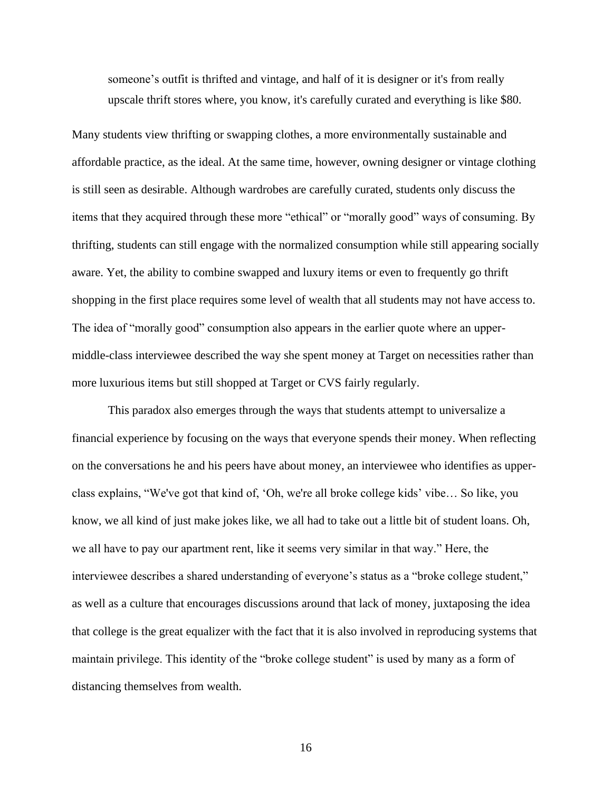someone's outfit is thrifted and vintage, and half of it is designer or it's from really upscale thrift stores where, you know, it's carefully curated and everything is like \$80.

Many students view thrifting or swapping clothes, a more environmentally sustainable and affordable practice, as the ideal. At the same time, however, owning designer or vintage clothing is still seen as desirable. Although wardrobes are carefully curated, students only discuss the items that they acquired through these more "ethical" or "morally good" ways of consuming. By thrifting, students can still engage with the normalized consumption while still appearing socially aware. Yet, the ability to combine swapped and luxury items or even to frequently go thrift shopping in the first place requires some level of wealth that all students may not have access to. The idea of "morally good" consumption also appears in the earlier quote where an uppermiddle-class interviewee described the way she spent money at Target on necessities rather than more luxurious items but still shopped at Target or CVS fairly regularly.

This paradox also emerges through the ways that students attempt to universalize a financial experience by focusing on the ways that everyone spends their money. When reflecting on the conversations he and his peers have about money, an interviewee who identifies as upperclass explains, "We've got that kind of, 'Oh, we're all broke college kids' vibe… So like, you know, we all kind of just make jokes like, we all had to take out a little bit of student loans. Oh, we all have to pay our apartment rent, like it seems very similar in that way." Here, the interviewee describes a shared understanding of everyone's status as a "broke college student," as well as a culture that encourages discussions around that lack of money, juxtaposing the idea that college is the great equalizer with the fact that it is also involved in reproducing systems that maintain privilege. This identity of the "broke college student" is used by many as a form of distancing themselves from wealth.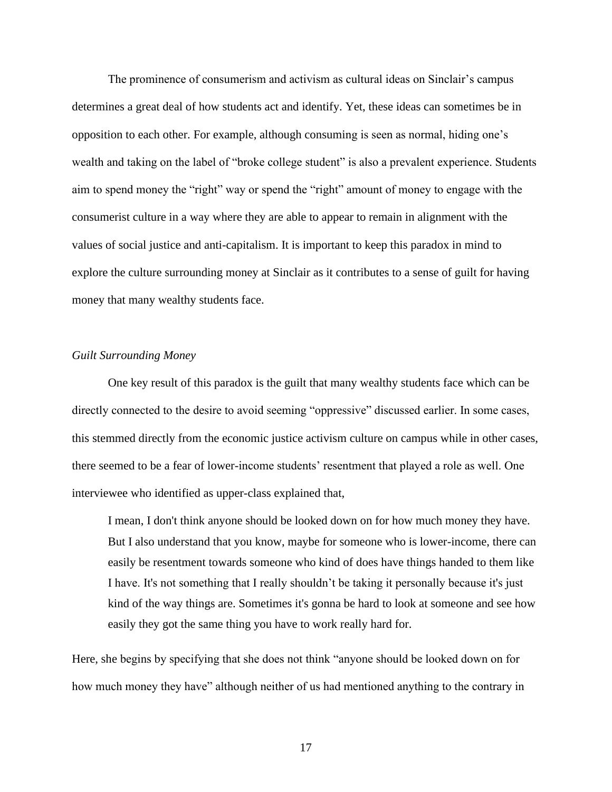The prominence of consumerism and activism as cultural ideas on Sinclair's campus determines a great deal of how students act and identify. Yet, these ideas can sometimes be in opposition to each other. For example, although consuming is seen as normal, hiding one's wealth and taking on the label of "broke college student" is also a prevalent experience. Students aim to spend money the "right" way or spend the "right" amount of money to engage with the consumerist culture in a way where they are able to appear to remain in alignment with the values of social justice and anti-capitalism. It is important to keep this paradox in mind to explore the culture surrounding money at Sinclair as it contributes to a sense of guilt for having money that many wealthy students face.

#### *Guilt Surrounding Money*

One key result of this paradox is the guilt that many wealthy students face which can be directly connected to the desire to avoid seeming "oppressive" discussed earlier. In some cases, this stemmed directly from the economic justice activism culture on campus while in other cases, there seemed to be a fear of lower-income students' resentment that played a role as well. One interviewee who identified as upper-class explained that,

I mean, I don't think anyone should be looked down on for how much money they have. But I also understand that you know, maybe for someone who is lower-income, there can easily be resentment towards someone who kind of does have things handed to them like I have. It's not something that I really shouldn't be taking it personally because it's just kind of the way things are. Sometimes it's gonna be hard to look at someone and see how easily they got the same thing you have to work really hard for.

Here, she begins by specifying that she does not think "anyone should be looked down on for how much money they have" although neither of us had mentioned anything to the contrary in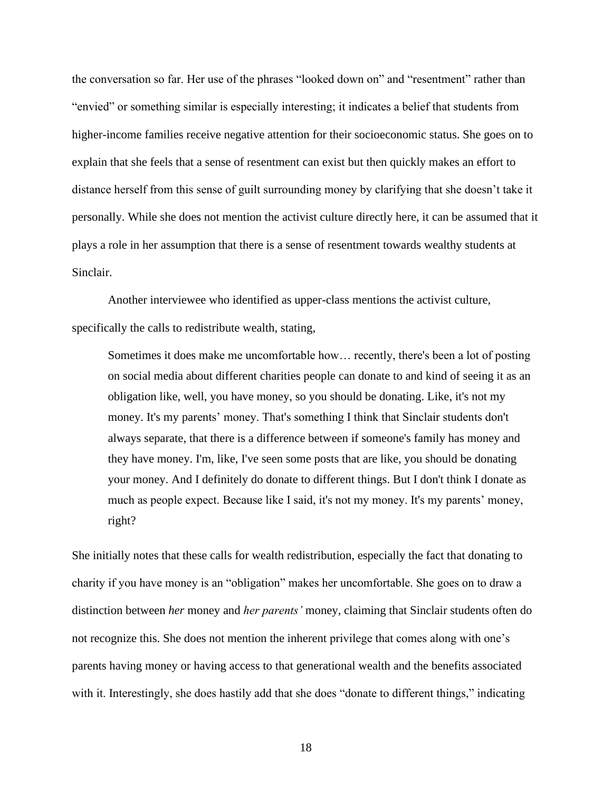the conversation so far. Her use of the phrases "looked down on" and "resentment" rather than "envied" or something similar is especially interesting; it indicates a belief that students from higher-income families receive negative attention for their socioeconomic status. She goes on to explain that she feels that a sense of resentment can exist but then quickly makes an effort to distance herself from this sense of guilt surrounding money by clarifying that she doesn't take it personally. While she does not mention the activist culture directly here, it can be assumed that it plays a role in her assumption that there is a sense of resentment towards wealthy students at Sinclair.

Another interviewee who identified as upper-class mentions the activist culture, specifically the calls to redistribute wealth, stating,

Sometimes it does make me uncomfortable how… recently, there's been a lot of posting on social media about different charities people can donate to and kind of seeing it as an obligation like, well, you have money, so you should be donating. Like, it's not my money. It's my parents' money. That's something I think that Sinclair students don't always separate, that there is a difference between if someone's family has money and they have money. I'm, like, I've seen some posts that are like, you should be donating your money. And I definitely do donate to different things. But I don't think I donate as much as people expect. Because like I said, it's not my money. It's my parents' money, right?

She initially notes that these calls for wealth redistribution, especially the fact that donating to charity if you have money is an "obligation" makes her uncomfortable. She goes on to draw a distinction between *her* money and *her parents'* money, claiming that Sinclair students often do not recognize this. She does not mention the inherent privilege that comes along with one's parents having money or having access to that generational wealth and the benefits associated with it. Interestingly, she does hastily add that she does "donate to different things," indicating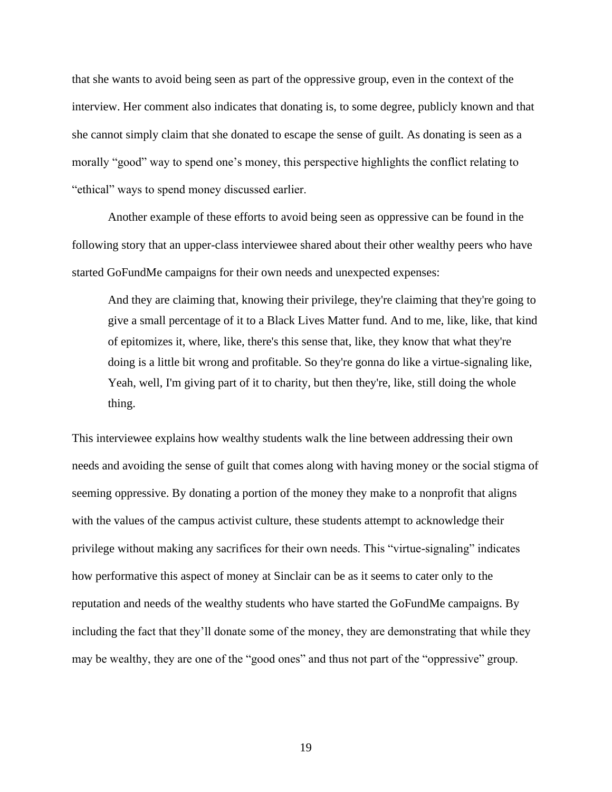that she wants to avoid being seen as part of the oppressive group, even in the context of the interview. Her comment also indicates that donating is, to some degree, publicly known and that she cannot simply claim that she donated to escape the sense of guilt. As donating is seen as a morally "good" way to spend one's money, this perspective highlights the conflict relating to "ethical" ways to spend money discussed earlier.

Another example of these efforts to avoid being seen as oppressive can be found in the following story that an upper-class interviewee shared about their other wealthy peers who have started GoFundMe campaigns for their own needs and unexpected expenses:

And they are claiming that, knowing their privilege, they're claiming that they're going to give a small percentage of it to a Black Lives Matter fund. And to me, like, like, that kind of epitomizes it, where, like, there's this sense that, like, they know that what they're doing is a little bit wrong and profitable. So they're gonna do like a virtue-signaling like, Yeah, well, I'm giving part of it to charity, but then they're, like, still doing the whole thing.

This interviewee explains how wealthy students walk the line between addressing their own needs and avoiding the sense of guilt that comes along with having money or the social stigma of seeming oppressive. By donating a portion of the money they make to a nonprofit that aligns with the values of the campus activist culture, these students attempt to acknowledge their privilege without making any sacrifices for their own needs. This "virtue-signaling" indicates how performative this aspect of money at Sinclair can be as it seems to cater only to the reputation and needs of the wealthy students who have started the GoFundMe campaigns. By including the fact that they'll donate some of the money, they are demonstrating that while they may be wealthy, they are one of the "good ones" and thus not part of the "oppressive" group.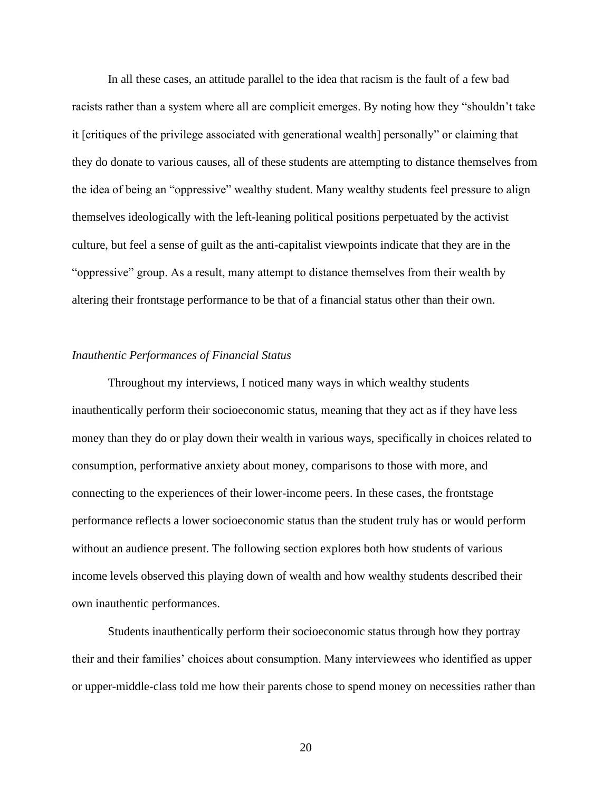In all these cases, an attitude parallel to the idea that racism is the fault of a few bad racists rather than a system where all are complicit emerges. By noting how they "shouldn't take it [critiques of the privilege associated with generational wealth] personally" or claiming that they do donate to various causes, all of these students are attempting to distance themselves from the idea of being an "oppressive" wealthy student. Many wealthy students feel pressure to align themselves ideologically with the left-leaning political positions perpetuated by the activist culture, but feel a sense of guilt as the anti-capitalist viewpoints indicate that they are in the "oppressive" group. As a result, many attempt to distance themselves from their wealth by altering their frontstage performance to be that of a financial status other than their own.

#### *Inauthentic Performances of Financial Status*

Throughout my interviews, I noticed many ways in which wealthy students inauthentically perform their socioeconomic status, meaning that they act as if they have less money than they do or play down their wealth in various ways, specifically in choices related to consumption, performative anxiety about money, comparisons to those with more, and connecting to the experiences of their lower-income peers. In these cases, the frontstage performance reflects a lower socioeconomic status than the student truly has or would perform without an audience present. The following section explores both how students of various income levels observed this playing down of wealth and how wealthy students described their own inauthentic performances.

Students inauthentically perform their socioeconomic status through how they portray their and their families' choices about consumption. Many interviewees who identified as upper or upper-middle-class told me how their parents chose to spend money on necessities rather than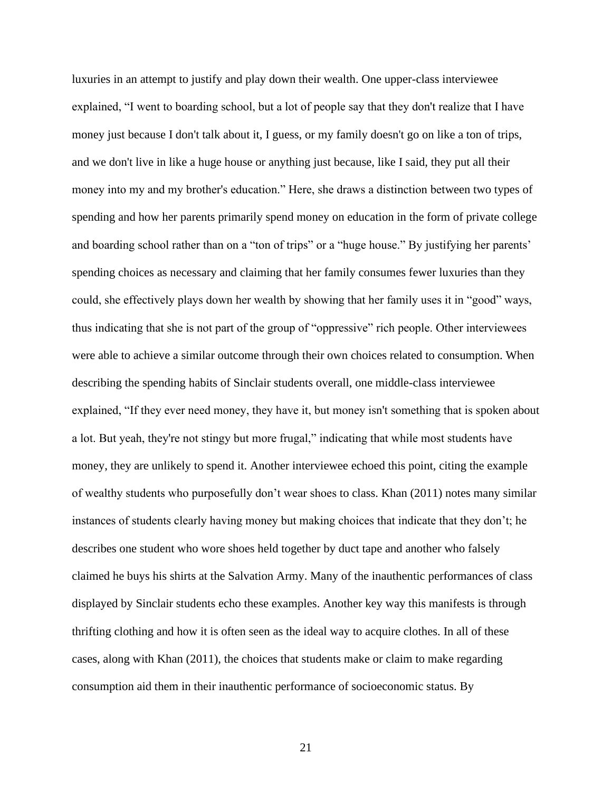luxuries in an attempt to justify and play down their wealth. One upper-class interviewee explained, "I went to boarding school, but a lot of people say that they don't realize that I have money just because I don't talk about it, I guess, or my family doesn't go on like a ton of trips, and we don't live in like a huge house or anything just because, like I said, they put all their money into my and my brother's education." Here, she draws a distinction between two types of spending and how her parents primarily spend money on education in the form of private college and boarding school rather than on a "ton of trips" or a "huge house." By justifying her parents' spending choices as necessary and claiming that her family consumes fewer luxuries than they could, she effectively plays down her wealth by showing that her family uses it in "good" ways, thus indicating that she is not part of the group of "oppressive" rich people. Other interviewees were able to achieve a similar outcome through their own choices related to consumption. When describing the spending habits of Sinclair students overall, one middle-class interviewee explained, "If they ever need money, they have it, but money isn't something that is spoken about a lot. But yeah, they're not stingy but more frugal," indicating that while most students have money, they are unlikely to spend it. Another interviewee echoed this point, citing the example of wealthy students who purposefully don't wear shoes to class. Khan (2011) notes many similar instances of students clearly having money but making choices that indicate that they don't; he describes one student who wore shoes held together by duct tape and another who falsely claimed he buys his shirts at the Salvation Army. Many of the inauthentic performances of class displayed by Sinclair students echo these examples. Another key way this manifests is through thrifting clothing and how it is often seen as the ideal way to acquire clothes. In all of these cases, along with Khan (2011), the choices that students make or claim to make regarding consumption aid them in their inauthentic performance of socioeconomic status. By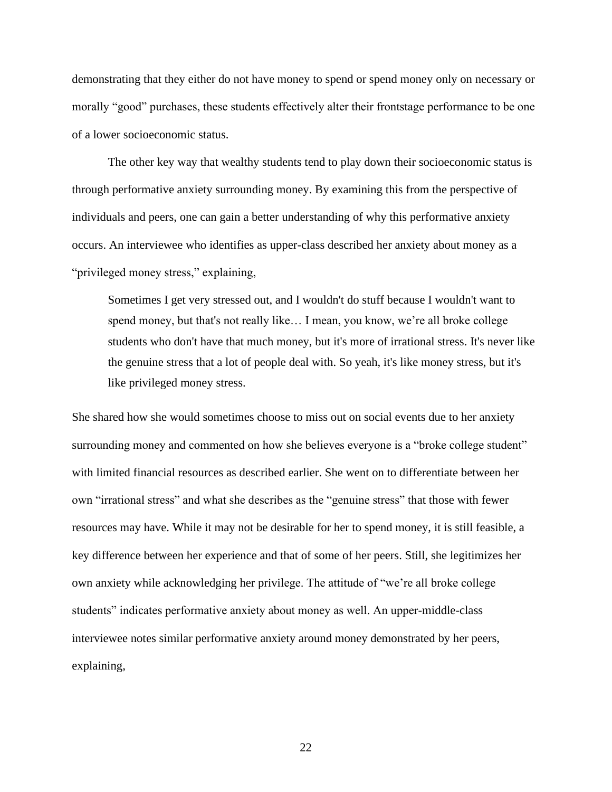demonstrating that they either do not have money to spend or spend money only on necessary or morally "good" purchases, these students effectively alter their frontstage performance to be one of a lower socioeconomic status.

The other key way that wealthy students tend to play down their socioeconomic status is through performative anxiety surrounding money. By examining this from the perspective of individuals and peers, one can gain a better understanding of why this performative anxiety occurs. An interviewee who identifies as upper-class described her anxiety about money as a "privileged money stress," explaining,

Sometimes I get very stressed out, and I wouldn't do stuff because I wouldn't want to spend money, but that's not really like… I mean, you know, we're all broke college students who don't have that much money, but it's more of irrational stress. It's never like the genuine stress that a lot of people deal with. So yeah, it's like money stress, but it's like privileged money stress.

She shared how she would sometimes choose to miss out on social events due to her anxiety surrounding money and commented on how she believes everyone is a "broke college student" with limited financial resources as described earlier. She went on to differentiate between her own "irrational stress" and what she describes as the "genuine stress" that those with fewer resources may have. While it may not be desirable for her to spend money, it is still feasible, a key difference between her experience and that of some of her peers. Still, she legitimizes her own anxiety while acknowledging her privilege. The attitude of "we're all broke college students" indicates performative anxiety about money as well. An upper-middle-class interviewee notes similar performative anxiety around money demonstrated by her peers, explaining,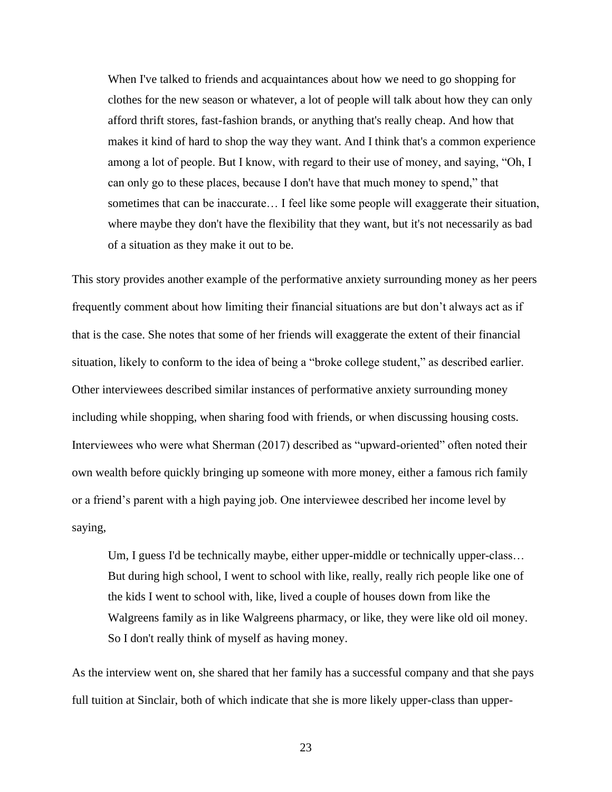When I've talked to friends and acquaintances about how we need to go shopping for clothes for the new season or whatever, a lot of people will talk about how they can only afford thrift stores, fast-fashion brands, or anything that's really cheap. And how that makes it kind of hard to shop the way they want. And I think that's a common experience among a lot of people. But I know, with regard to their use of money, and saying, "Oh, I can only go to these places, because I don't have that much money to spend," that sometimes that can be inaccurate… I feel like some people will exaggerate their situation, where maybe they don't have the flexibility that they want, but it's not necessarily as bad of a situation as they make it out to be.

This story provides another example of the performative anxiety surrounding money as her peers frequently comment about how limiting their financial situations are but don't always act as if that is the case. She notes that some of her friends will exaggerate the extent of their financial situation, likely to conform to the idea of being a "broke college student," as described earlier. Other interviewees described similar instances of performative anxiety surrounding money including while shopping, when sharing food with friends, or when discussing housing costs. Interviewees who were what Sherman (2017) described as "upward-oriented" often noted their own wealth before quickly bringing up someone with more money, either a famous rich family or a friend's parent with a high paying job. One interviewee described her income level by saying,

Um, I guess I'd be technically maybe, either upper-middle or technically upper-class... But during high school, I went to school with like, really, really rich people like one of the kids I went to school with, like, lived a couple of houses down from like the Walgreens family as in like Walgreens pharmacy, or like, they were like old oil money. So I don't really think of myself as having money.

As the interview went on, she shared that her family has a successful company and that she pays full tuition at Sinclair, both of which indicate that she is more likely upper-class than upper-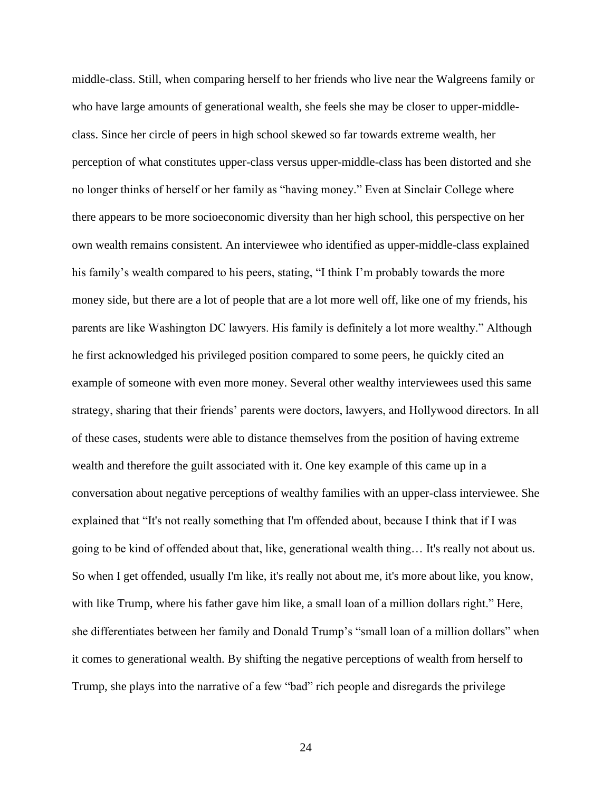middle-class. Still, when comparing herself to her friends who live near the Walgreens family or who have large amounts of generational wealth, she feels she may be closer to upper-middleclass. Since her circle of peers in high school skewed so far towards extreme wealth, her perception of what constitutes upper-class versus upper-middle-class has been distorted and she no longer thinks of herself or her family as "having money." Even at Sinclair College where there appears to be more socioeconomic diversity than her high school, this perspective on her own wealth remains consistent. An interviewee who identified as upper-middle-class explained his family's wealth compared to his peers, stating, "I think I'm probably towards the more money side, but there are a lot of people that are a lot more well off, like one of my friends, his parents are like Washington DC lawyers. His family is definitely a lot more wealthy." Although he first acknowledged his privileged position compared to some peers, he quickly cited an example of someone with even more money. Several other wealthy interviewees used this same strategy, sharing that their friends' parents were doctors, lawyers, and Hollywood directors. In all of these cases, students were able to distance themselves from the position of having extreme wealth and therefore the guilt associated with it. One key example of this came up in a conversation about negative perceptions of wealthy families with an upper-class interviewee. She explained that "It's not really something that I'm offended about, because I think that if I was going to be kind of offended about that, like, generational wealth thing… It's really not about us. So when I get offended, usually I'm like, it's really not about me, it's more about like, you know, with like Trump, where his father gave him like, a small loan of a million dollars right." Here, she differentiates between her family and Donald Trump's "small loan of a million dollars" when it comes to generational wealth. By shifting the negative perceptions of wealth from herself to Trump, she plays into the narrative of a few "bad" rich people and disregards the privilege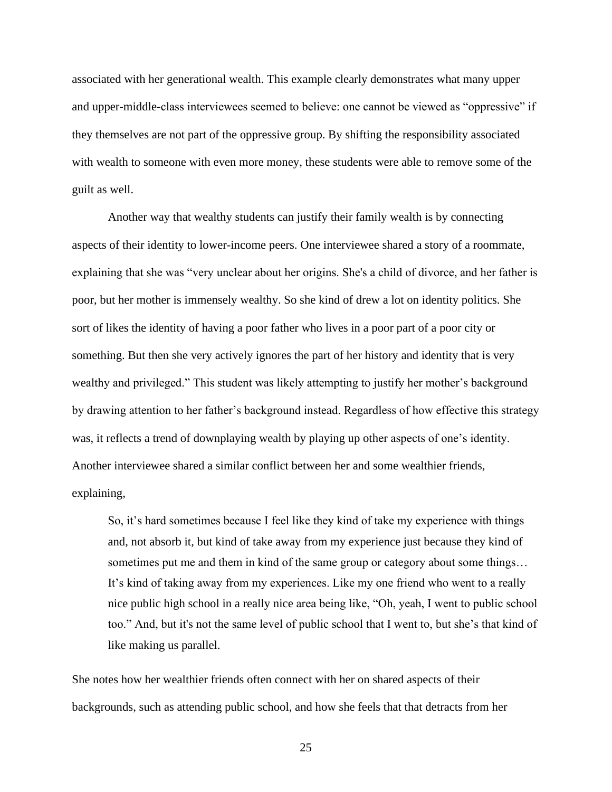associated with her generational wealth. This example clearly demonstrates what many upper and upper-middle-class interviewees seemed to believe: one cannot be viewed as "oppressive" if they themselves are not part of the oppressive group. By shifting the responsibility associated with wealth to someone with even more money, these students were able to remove some of the guilt as well.

Another way that wealthy students can justify their family wealth is by connecting aspects of their identity to lower-income peers. One interviewee shared a story of a roommate, explaining that she was "very unclear about her origins. She's a child of divorce, and her father is poor, but her mother is immensely wealthy. So she kind of drew a lot on identity politics. She sort of likes the identity of having a poor father who lives in a poor part of a poor city or something. But then she very actively ignores the part of her history and identity that is very wealthy and privileged." This student was likely attempting to justify her mother's background by drawing attention to her father's background instead. Regardless of how effective this strategy was, it reflects a trend of downplaying wealth by playing up other aspects of one's identity. Another interviewee shared a similar conflict between her and some wealthier friends, explaining,

So, it's hard sometimes because I feel like they kind of take my experience with things and, not absorb it, but kind of take away from my experience just because they kind of sometimes put me and them in kind of the same group or category about some things… It's kind of taking away from my experiences. Like my one friend who went to a really nice public high school in a really nice area being like, "Oh, yeah, I went to public school too." And, but it's not the same level of public school that I went to, but she's that kind of like making us parallel.

She notes how her wealthier friends often connect with her on shared aspects of their backgrounds, such as attending public school, and how she feels that that detracts from her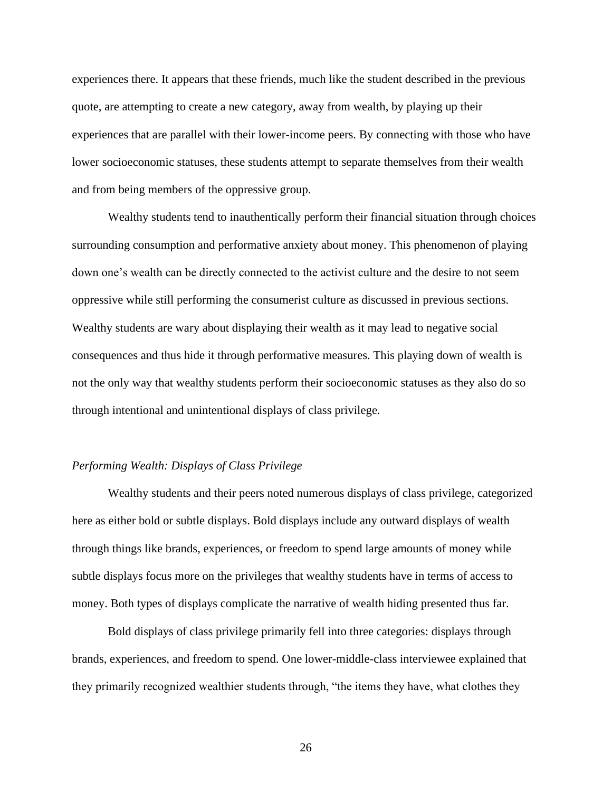experiences there. It appears that these friends, much like the student described in the previous quote, are attempting to create a new category, away from wealth, by playing up their experiences that are parallel with their lower-income peers. By connecting with those who have lower socioeconomic statuses, these students attempt to separate themselves from their wealth and from being members of the oppressive group.

Wealthy students tend to inauthentically perform their financial situation through choices surrounding consumption and performative anxiety about money. This phenomenon of playing down one's wealth can be directly connected to the activist culture and the desire to not seem oppressive while still performing the consumerist culture as discussed in previous sections. Wealthy students are wary about displaying their wealth as it may lead to negative social consequences and thus hide it through performative measures. This playing down of wealth is not the only way that wealthy students perform their socioeconomic statuses as they also do so through intentional and unintentional displays of class privilege.

### *Performing Wealth: Displays of Class Privilege*

Wealthy students and their peers noted numerous displays of class privilege, categorized here as either bold or subtle displays. Bold displays include any outward displays of wealth through things like brands, experiences, or freedom to spend large amounts of money while subtle displays focus more on the privileges that wealthy students have in terms of access to money. Both types of displays complicate the narrative of wealth hiding presented thus far.

Bold displays of class privilege primarily fell into three categories: displays through brands, experiences, and freedom to spend. One lower-middle-class interviewee explained that they primarily recognized wealthier students through, "the items they have, what clothes they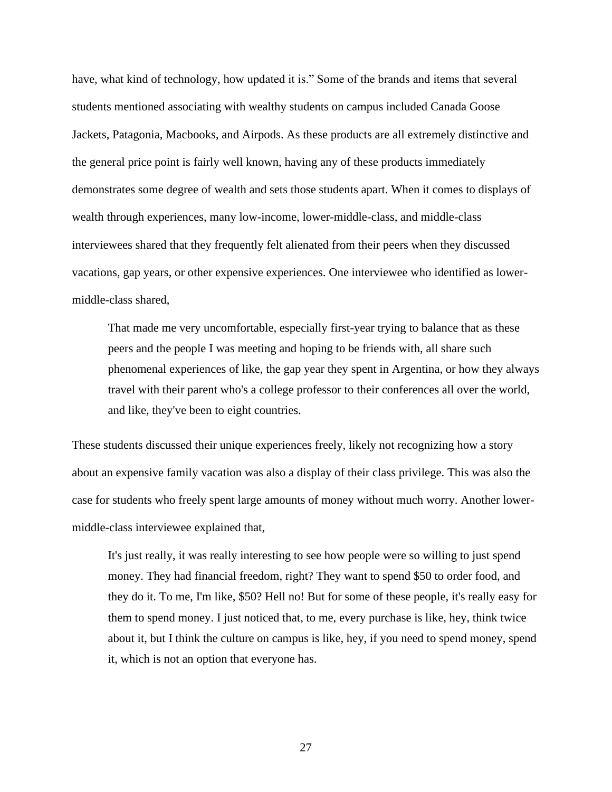have, what kind of technology, how updated it is." Some of the brands and items that several students mentioned associating with wealthy students on campus included Canada Goose Jackets, Patagonia, Macbooks, and Airpods. As these products are all extremely distinctive and the general price point is fairly well known, having any of these products immediately demonstrates some degree of wealth and sets those students apart. When it comes to displays of wealth through experiences, many low-income, lower-middle-class, and middle-class interviewees shared that they frequently felt alienated from their peers when they discussed vacations, gap years, or other expensive experiences. One interviewee who identified as lowermiddle-class shared,

That made me very uncomfortable, especially first-year trying to balance that as these peers and the people I was meeting and hoping to be friends with, all share such phenomenal experiences of like, the gap year they spent in Argentina, or how they always travel with their parent who's a college professor to their conferences all over the world, and like, they've been to eight countries.

These students discussed their unique experiences freely, likely not recognizing how a story about an expensive family vacation was also a display of their class privilege. This was also the case for students who freely spent large amounts of money without much worry. Another lowermiddle-class interviewee explained that,

It's just really, it was really interesting to see how people were so willing to just spend money. They had financial freedom, right? They want to spend \$50 to order food, and they do it. To me, I'm like, \$50? Hell no! But for some of these people, it's really easy for them to spend money. I just noticed that, to me, every purchase is like, hey, think twice about it, but I think the culture on campus is like, hey, if you need to spend money, spend it, which is not an option that everyone has.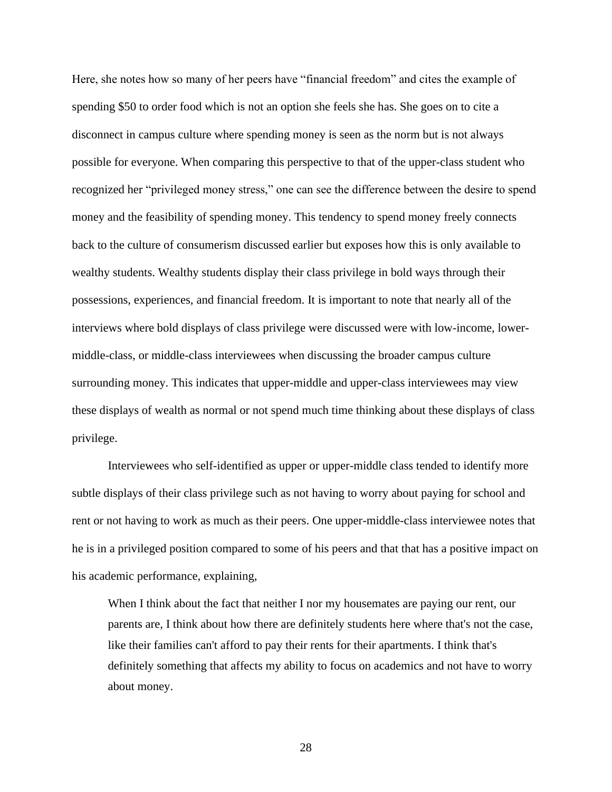Here, she notes how so many of her peers have "financial freedom" and cites the example of spending \$50 to order food which is not an option she feels she has. She goes on to cite a disconnect in campus culture where spending money is seen as the norm but is not always possible for everyone. When comparing this perspective to that of the upper-class student who recognized her "privileged money stress," one can see the difference between the desire to spend money and the feasibility of spending money. This tendency to spend money freely connects back to the culture of consumerism discussed earlier but exposes how this is only available to wealthy students. Wealthy students display their class privilege in bold ways through their possessions, experiences, and financial freedom. It is important to note that nearly all of the interviews where bold displays of class privilege were discussed were with low-income, lowermiddle-class, or middle-class interviewees when discussing the broader campus culture surrounding money. This indicates that upper-middle and upper-class interviewees may view these displays of wealth as normal or not spend much time thinking about these displays of class privilege.

Interviewees who self-identified as upper or upper-middle class tended to identify more subtle displays of their class privilege such as not having to worry about paying for school and rent or not having to work as much as their peers. One upper-middle-class interviewee notes that he is in a privileged position compared to some of his peers and that that has a positive impact on his academic performance, explaining,

When I think about the fact that neither I nor my housemates are paying our rent, our parents are, I think about how there are definitely students here where that's not the case, like their families can't afford to pay their rents for their apartments. I think that's definitely something that affects my ability to focus on academics and not have to worry about money.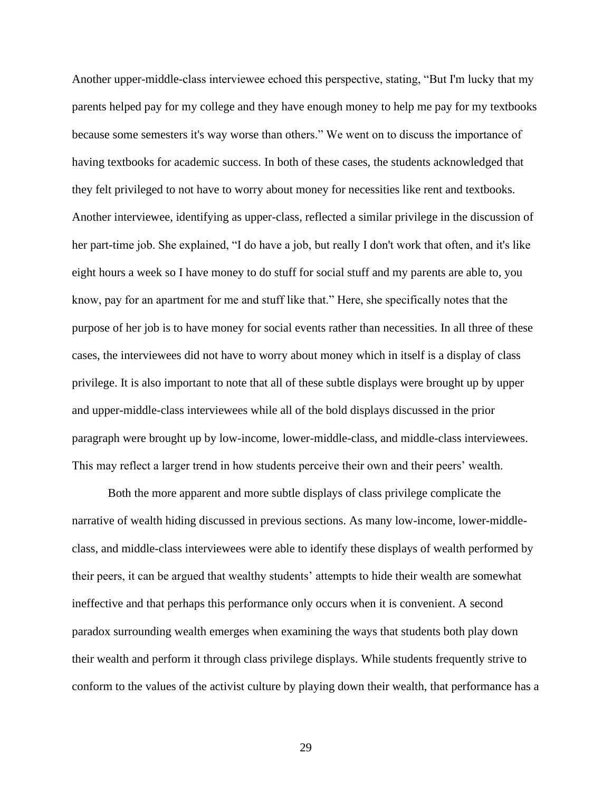Another upper-middle-class interviewee echoed this perspective, stating, "But I'm lucky that my parents helped pay for my college and they have enough money to help me pay for my textbooks because some semesters it's way worse than others." We went on to discuss the importance of having textbooks for academic success. In both of these cases, the students acknowledged that they felt privileged to not have to worry about money for necessities like rent and textbooks. Another interviewee, identifying as upper-class, reflected a similar privilege in the discussion of her part-time job. She explained, "I do have a job, but really I don't work that often, and it's like eight hours a week so I have money to do stuff for social stuff and my parents are able to, you know, pay for an apartment for me and stuff like that." Here, she specifically notes that the purpose of her job is to have money for social events rather than necessities. In all three of these cases, the interviewees did not have to worry about money which in itself is a display of class privilege. It is also important to note that all of these subtle displays were brought up by upper and upper-middle-class interviewees while all of the bold displays discussed in the prior paragraph were brought up by low-income, lower-middle-class, and middle-class interviewees. This may reflect a larger trend in how students perceive their own and their peers' wealth.

Both the more apparent and more subtle displays of class privilege complicate the narrative of wealth hiding discussed in previous sections. As many low-income, lower-middleclass, and middle-class interviewees were able to identify these displays of wealth performed by their peers, it can be argued that wealthy students' attempts to hide their wealth are somewhat ineffective and that perhaps this performance only occurs when it is convenient. A second paradox surrounding wealth emerges when examining the ways that students both play down their wealth and perform it through class privilege displays. While students frequently strive to conform to the values of the activist culture by playing down their wealth, that performance has a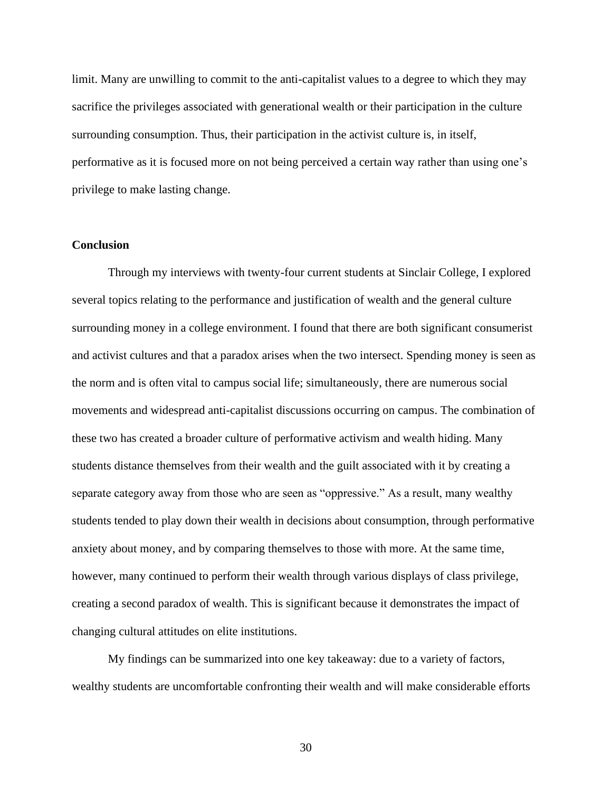limit. Many are unwilling to commit to the anti-capitalist values to a degree to which they may sacrifice the privileges associated with generational wealth or their participation in the culture surrounding consumption. Thus, their participation in the activist culture is, in itself, performative as it is focused more on not being perceived a certain way rather than using one's privilege to make lasting change.

#### **Conclusion**

Through my interviews with twenty-four current students at Sinclair College, I explored several topics relating to the performance and justification of wealth and the general culture surrounding money in a college environment. I found that there are both significant consumerist and activist cultures and that a paradox arises when the two intersect. Spending money is seen as the norm and is often vital to campus social life; simultaneously, there are numerous social movements and widespread anti-capitalist discussions occurring on campus. The combination of these two has created a broader culture of performative activism and wealth hiding. Many students distance themselves from their wealth and the guilt associated with it by creating a separate category away from those who are seen as "oppressive." As a result, many wealthy students tended to play down their wealth in decisions about consumption, through performative anxiety about money, and by comparing themselves to those with more. At the same time, however, many continued to perform their wealth through various displays of class privilege, creating a second paradox of wealth. This is significant because it demonstrates the impact of changing cultural attitudes on elite institutions.

My findings can be summarized into one key takeaway: due to a variety of factors, wealthy students are uncomfortable confronting their wealth and will make considerable efforts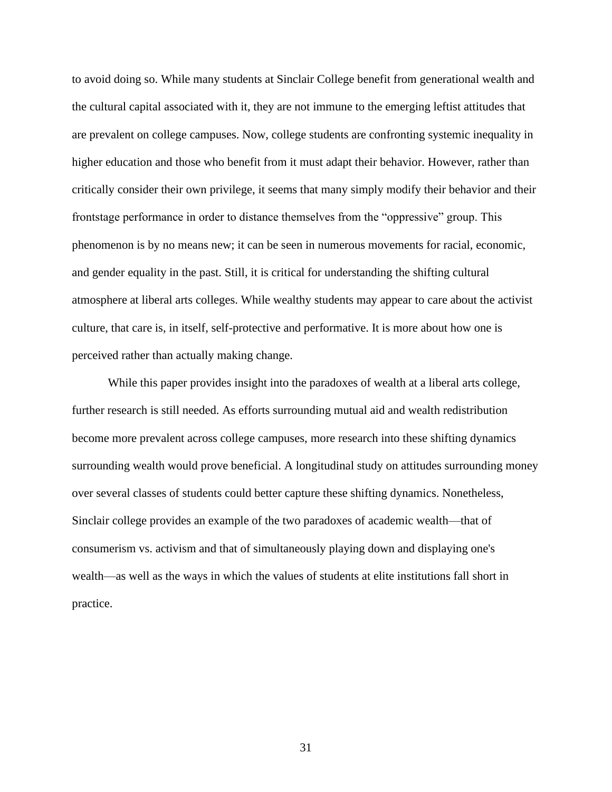to avoid doing so. While many students at Sinclair College benefit from generational wealth and the cultural capital associated with it, they are not immune to the emerging leftist attitudes that are prevalent on college campuses. Now, college students are confronting systemic inequality in higher education and those who benefit from it must adapt their behavior. However, rather than critically consider their own privilege, it seems that many simply modify their behavior and their frontstage performance in order to distance themselves from the "oppressive" group. This phenomenon is by no means new; it can be seen in numerous movements for racial, economic, and gender equality in the past. Still, it is critical for understanding the shifting cultural atmosphere at liberal arts colleges. While wealthy students may appear to care about the activist culture, that care is, in itself, self-protective and performative. It is more about how one is perceived rather than actually making change.

While this paper provides insight into the paradoxes of wealth at a liberal arts college, further research is still needed. As efforts surrounding mutual aid and wealth redistribution become more prevalent across college campuses, more research into these shifting dynamics surrounding wealth would prove beneficial. A longitudinal study on attitudes surrounding money over several classes of students could better capture these shifting dynamics. Nonetheless, Sinclair college provides an example of the two paradoxes of academic wealth—that of consumerism vs. activism and that of simultaneously playing down and displaying one's wealth—as well as the ways in which the values of students at elite institutions fall short in practice.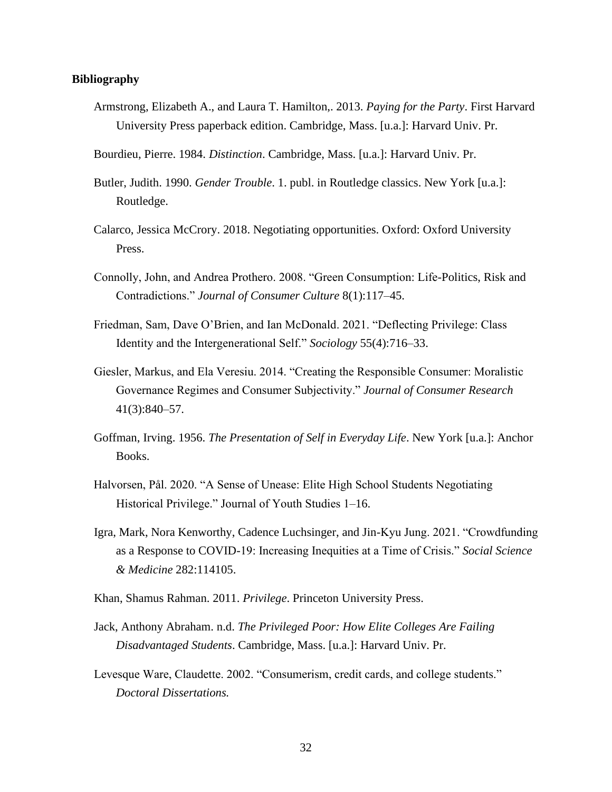#### **Bibliography**

- Armstrong, Elizabeth A., and Laura T. Hamilton,. 2013. *Paying for the Party*. First Harvard University Press paperback edition. Cambridge, Mass. [u.a.]: Harvard Univ. Pr.
- Bourdieu, Pierre. 1984. *Distinction*. Cambridge, Mass. [u.a.]: Harvard Univ. Pr.
- Butler, Judith. 1990. *Gender Trouble*. 1. publ. in Routledge classics. New York [u.a.]: Routledge.
- Calarco, Jessica McCrory. 2018. Negotiating opportunities. Oxford: Oxford University Press.
- Connolly, John, and Andrea Prothero. 2008. "Green Consumption: Life-Politics, Risk and Contradictions." *Journal of Consumer Culture* 8(1):117–45.
- Friedman, Sam, Dave O'Brien, and Ian McDonald. 2021. "Deflecting Privilege: Class Identity and the Intergenerational Self." *Sociology* 55(4):716–33.
- Giesler, Markus, and Ela Veresiu. 2014. "Creating the Responsible Consumer: Moralistic Governance Regimes and Consumer Subjectivity." *Journal of Consumer Research* 41(3):840–57.
- Goffman, Irving. 1956. *The Presentation of Self in Everyday Life*. New York [u.a.]: Anchor Books.
- Halvorsen, Pål. 2020. "A Sense of Unease: Elite High School Students Negotiating Historical Privilege." Journal of Youth Studies 1–16.
- Igra, Mark, Nora Kenworthy, Cadence Luchsinger, and Jin-Kyu Jung. 2021. "Crowdfunding as a Response to COVID-19: Increasing Inequities at a Time of Crisis." *Social Science & Medicine* 282:114105.
- Khan, Shamus Rahman. 2011. *Privilege*. Princeton University Press.
- Jack, Anthony Abraham. n.d. *The Privileged Poor: How Elite Colleges Are Failing Disadvantaged Students*. Cambridge, Mass. [u.a.]: Harvard Univ. Pr.
- Levesque Ware, Claudette. 2002. "Consumerism, credit cards, and college students." *Doctoral Dissertations.*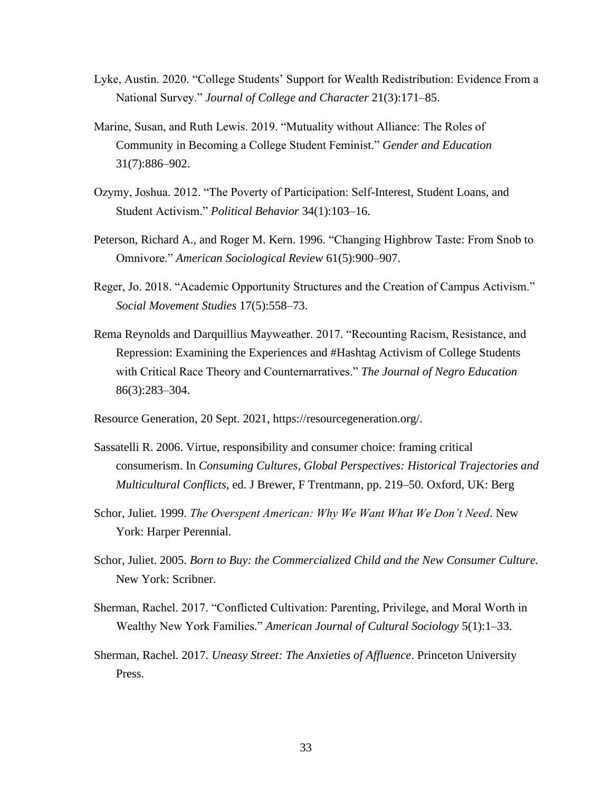- Lyke, Austin. 2020. "College Students' Support for Wealth Redistribution: Evidence From a National Survey." *Journal of College and Character* 21(3):171–85.
- Marine, Susan, and Ruth Lewis. 2019. "Mutuality without Alliance: The Roles of Community in Becoming a College Student Feminist." *Gender and Education* 31(7):886–902.
- Ozymy, Joshua. 2012. "The Poverty of Participation: Self-Interest, Student Loans, and Student Activism." *Political Behavior* 34(1):103–16.
- Peterson, Richard A., and Roger M. Kern. 1996. "Changing Highbrow Taste: From Snob to Omnivore." *American Sociological Review* 61(5):900–907.
- Reger, Jo. 2018. "Academic Opportunity Structures and the Creation of Campus Activism." *Social Movement Studies* 17(5):558–73.
- Rema Reynolds and Darquillius Mayweather. 2017. "Recounting Racism, Resistance, and Repression: Examining the Experiences and #Hashtag Activism of College Students with Critical Race Theory and Counternarratives." *The Journal of Negro Education* 86(3):283–304.
- Resource Generation, 20 Sept. 2021, https://resourcegeneration.org/.
- Sassatelli R. 2006. Virtue, responsibility and consumer choice: framing critical consumerism. In *Consuming Cultures, Global Perspectives: Historical Trajectories and Multicultural Conflicts*, ed. J Brewer, F Trentmann, pp. 219–50. Oxford, UK: Berg
- Schor, Juliet. 1999. *The Overspent American: Why We Want What We Don't Need*. New York: Harper Perennial.
- Schor, Juliet. 2005. *Born to Buy: the Commercialized Child and the New Consumer Culture.*  New York: Scribner.
- Sherman, Rachel. 2017. "Conflicted Cultivation: Parenting, Privilege, and Moral Worth in Wealthy New York Families." *American Journal of Cultural Sociology* 5(1):1–33.
- Sherman, Rachel. 2017. *Uneasy Street: The Anxieties of Affluence*. Princeton University Press.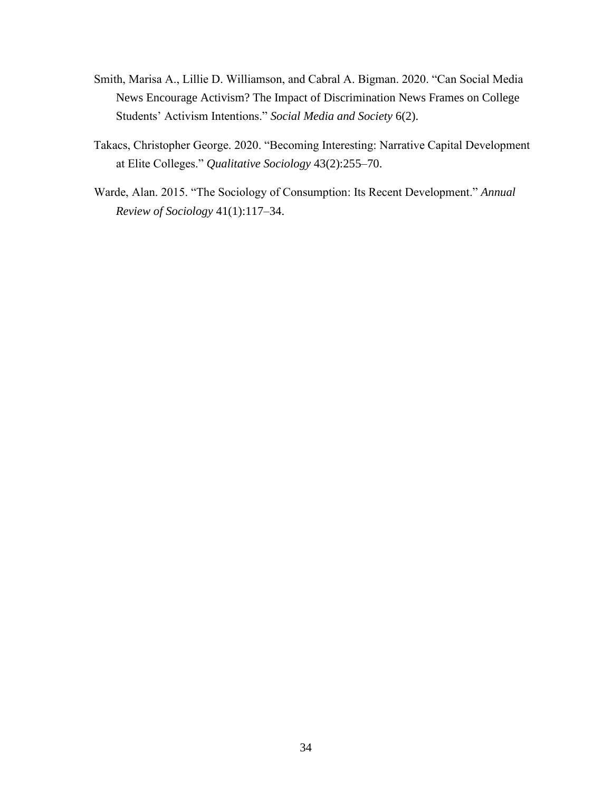- Smith, Marisa A., Lillie D. Williamson, and Cabral A. Bigman. 2020. "Can Social Media News Encourage Activism? The Impact of Discrimination News Frames on College Students' Activism Intentions." *Social Media and Society* 6(2).
- Takacs, Christopher George. 2020. "Becoming Interesting: Narrative Capital Development at Elite Colleges." *Qualitative Sociology* 43(2):255–70.
- Warde, Alan. 2015. "The Sociology of Consumption: Its Recent Development." *Annual Review of Sociology* 41(1):117–34.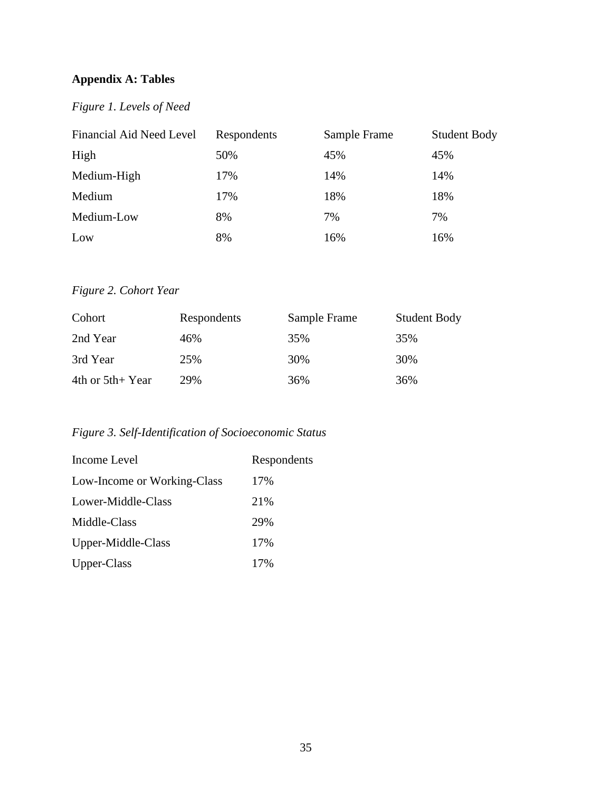# **Appendix A: Tables**

# *Figure 1. Levels of Need*

| Financial Aid Need Level | Respondents | Sample Frame | <b>Student Body</b> |
|--------------------------|-------------|--------------|---------------------|
| High                     | 50%         | 45%          | 45%                 |
| Medium-High              | 17%         | 14%          | 14%                 |
| Medium                   | 17%         | 18%          | 18%                 |
| Medium-Low               | 8%          | 7%           | 7%                  |
| Low                      | 8%          | 16%          | 16%                 |

# *Figure 2. Cohort Year*

| Cohort            | Respondents | Sample Frame | <b>Student Body</b> |
|-------------------|-------------|--------------|---------------------|
| 2nd Year          | 46%         | 35%          | 35%                 |
| 3rd Year          | 25%         | 30%          | 30%                 |
| 4th or $5th+Year$ | 29%         | 36%          | 36%                 |

# *Figure 3. Self-Identification of Socioeconomic Status*

| Income Level                | Respondents |
|-----------------------------|-------------|
| Low-Income or Working-Class | 17%         |
| Lower-Middle-Class          | 21%         |
| Middle-Class                | 29%         |
| Upper-Middle-Class          | 17%         |
| Upper-Class                 | 17%         |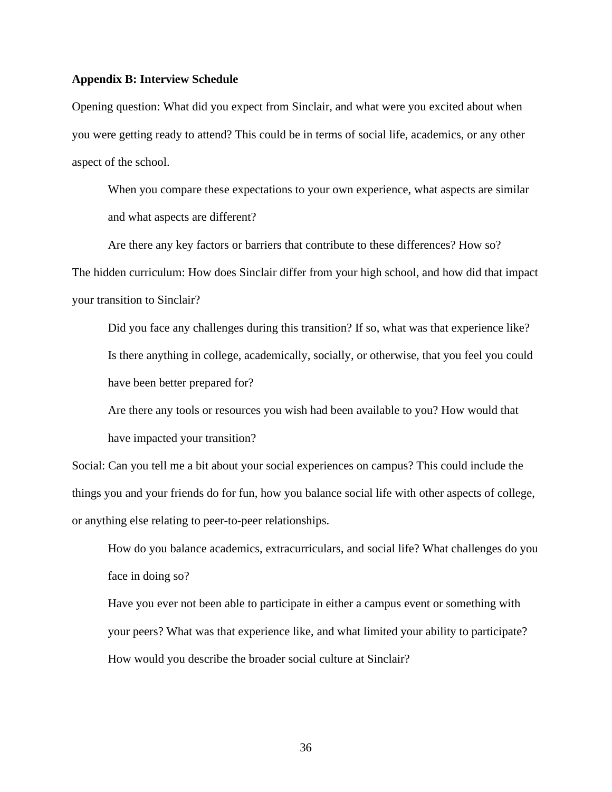#### **Appendix B: Interview Schedule**

Opening question: What did you expect from Sinclair, and what were you excited about when you were getting ready to attend? This could be in terms of social life, academics, or any other aspect of the school.

When you compare these expectations to your own experience, what aspects are similar and what aspects are different?

Are there any key factors or barriers that contribute to these differences? How so? The hidden curriculum: How does Sinclair differ from your high school, and how did that impact your transition to Sinclair?

Did you face any challenges during this transition? If so, what was that experience like? Is there anything in college, academically, socially, or otherwise, that you feel you could have been better prepared for?

Are there any tools or resources you wish had been available to you? How would that have impacted your transition?

Social: Can you tell me a bit about your social experiences on campus? This could include the things you and your friends do for fun, how you balance social life with other aspects of college, or anything else relating to peer-to-peer relationships.

How do you balance academics, extracurriculars, and social life? What challenges do you face in doing so?

Have you ever not been able to participate in either a campus event or something with your peers? What was that experience like, and what limited your ability to participate? How would you describe the broader social culture at Sinclair?